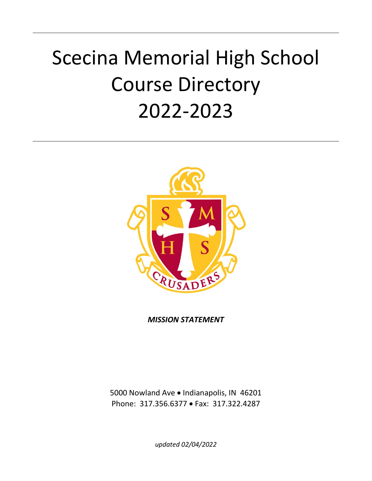# Scecina Memorial High School Course Directory 2022-2023



*MISSION STATEMENT*

5000 Nowland Ave • Indianapolis, IN 46201 Phone: 317.356.6377 • Fax: 317.322.4287

*updated 02/04/2022*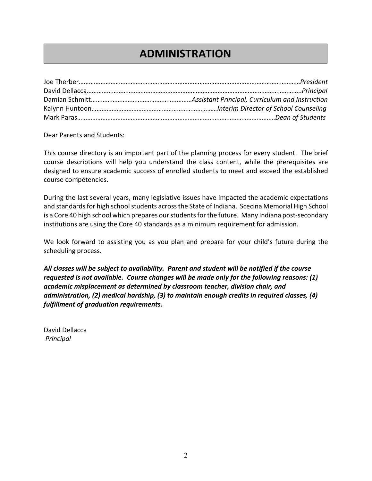## **ADMINISTRATION**

Dear Parents and Students:

This course directory is an important part of the planning process for every student. The brief course descriptions will help you understand the class content, while the prerequisites are designed to ensure academic success of enrolled students to meet and exceed the established course competencies.

During the last several years, many legislative issues have impacted the academic expectations and standards for high school students across the State of Indiana. Scecina Memorial High School is a Core 40 high school which prepares our students for the future. Many Indiana post-secondary institutions are using the Core 40 standards as a minimum requirement for admission.

We look forward to assisting you as you plan and prepare for your child's future during the scheduling process.

*All classes will be subject to availability. Parent and student will be notified if the course requested is not available. Course changes will be made only for the following reasons: (1) academic misplacement as determined by classroom teacher, division chair, and administration, (2) medical hardship, (3) to maintain enough credits in required classes, (4) fulfillment of graduation requirements.*

David Dellacca *Principal*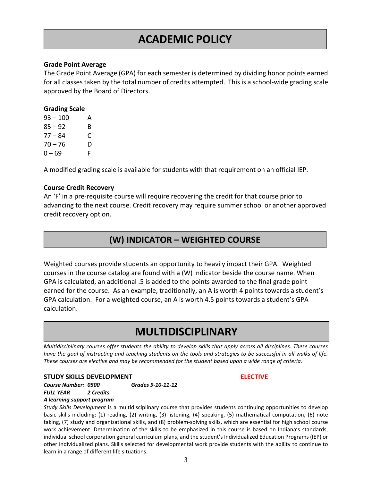## **ACADEMIC POLICY**

### **Grade Point Average**

The Grade Point Average (GPA) for each semester is determined by dividing honor points earned for all classes taken by the total number of credits attempted. This is a school-wide grading scale approved by the Board of Directors.

### **Grading Scale**

| $93 - 100$ | А |
|------------|---|
| $85 - 92$  | В |
| $77 - 84$  | C |
| $70 - 76$  | D |
| $0 - 69$   | F |

A modified grading scale is available for students with that requirement on an official IEP.

### **Course Credit Recovery**

An 'F' in a pre-requisite course will require recovering the credit for that course prior to advancing to the next course. Credit recovery may require summer school or another approved credit recovery option.

## **(W) INDICATOR – WEIGHTED COURSE**

Weighted courses provide students an opportunity to heavily impact their GPA. Weighted courses in the course catalog are found with a (W) indicator beside the course name. When GPA is calculated, an additional .5 is added to the points awarded to the final grade point earned for the course. As an example, traditionally, an A is worth 4 points towards a student's GPA calculation. For a weighted course, an A is worth 4.5 points towards a student's GPA calculation.

## **MULTIDISCIPLINARY**

*Multidisciplinary courses offer students the ability to develop skills that apply across all disciplines. These courses have the goal of instructing and teaching students on the tools and strategies to be successful in all walks of life. These courses are elective and may be recommended for the student based upon a wide range of criteria.*

#### **STUDY SKILLS DEVELOPMENT ELECTIVE**

*Course Number: 0500 Grades 9-10-11-12 FULL YEAR 2 Credits A learning support program*

*Study Skills Development* is a multidisciplinary course that provides students continuing opportunities to develop basic skills including: (1) reading, (2) writing, (3) listening, (4) speaking, (5) mathematical computation, (6) note taking, (7) study and organizational skills, and (8) problem-solving skills, which are essential for high school course work achievement. Determination of the skills to be emphasized in this course is based on Indiana's standards, individual school corporation general curriculum plans, and the student's Individualized Education Programs (IEP) or other individualized plans. Skills selected for developmental work provide students with the ability to continue to learn in a range of different life situations.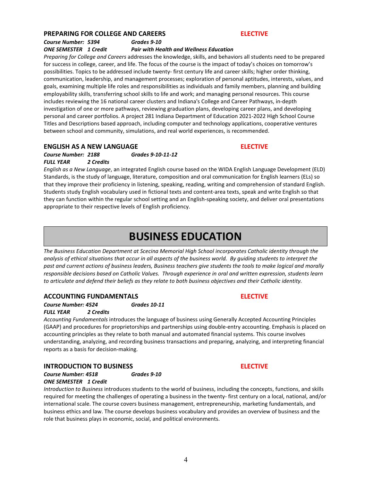### **PREPARING FOR COLLEGE AND CAREERS ELECTIVE**

## *Course Number: 5394 Grades 9-10*

*ONE SEMESTER 1 Credit Pair with Health and Wellness Education*

*Preparing for College and Careers* addresses the knowledge, skills, and behaviors all students need to be prepared for success in college, career, and life. The focus of the course is the impact of today's choices on tomorrow's possibilities. Topics to be addressed include twenty- first century life and career skills; higher order thinking, communication, leadership, and management processes; exploration of personal aptitudes, interests, values, and goals, examining multiple life roles and responsibilities as individuals and family members, planning and building employability skills, transferring school skills to life and work; and managing personal resources. This course includes reviewing the 16 national career clusters and Indiana's College and Career Pathways, in-depth investigation of one or more pathways, reviewing graduation plans, developing career plans, and developing personal and career portfolios. A project 281 Indiana Department of Education 2021-2022 High School Course Titles and Descriptions based approach, including computer and technology applications, cooperative ventures between school and community, simulations, and real world experiences, is recommended.

### **ENGLISH AS A NEW LANGUAGE ELECTIVE**

### *Course Number: 2188 Grades 9-10-11-12 FULL YEAR 2 Credits*

*English as a New Language*, an integrated English course based on the WIDA English Language Development (ELD) Standards, is the study of language, literature, composition and oral communication for English learners (ELs) so that they improve their proficiency in listening, speaking, reading, writing and comprehension of standard English. Students study English vocabulary used in fictional texts and content-area texts, speak and write English so that they can function within the regular school setting and an English-speaking society, and deliver oral presentations appropriate to their respective levels of English proficiency.

## **BUSINESS EDUCATION**

*The Business Education Department at Scecina Memorial High School incorporates Catholic identity through the analysis of ethical situations that occur in all aspects of the business world. By guiding students to interpret the past and current actions of business leaders, Business teachers give students the tools to make logical and morally responsible decisions based on Catholic Values. Through experience in oral and written expression, students learn to articulate and defend their beliefs as they relate to both business objectives and their Catholic identity.*

### **ACCOUNTING FUNDAMENTALS ELECTIVE**

*Course Number: 4524 Grades 10-11 FULL YEAR 2 Credits*

*Accounting Fundamentals* introduces the language of business using Generally Accepted Accounting Principles (GAAP) and procedures for proprietorships and partnerships using double-entry accounting. Emphasis is placed on accounting principles as they relate to both manual and automated financial systems. This course involves understanding, analyzing, and recording business transactions and preparing, analyzing, and interpreting financial reports as a basis for decision-making.

### **INTRODUCTION TO BUSINESS ELECTIVE**

*Course Number: 4518 Grades 9-10 ONE SEMESTER 1 Credit*

*Introduction to Business* introduces students to the world of business, including the concepts, functions, and skills required for meeting the challenges of operating a business in the twenty- first century on a local, national, and/or international scale. The course covers business management, entrepreneurship, marketing fundamentals, and business ethics and law. The course develops business vocabulary and provides an overview of business and the role that business plays in economic, social, and political environments.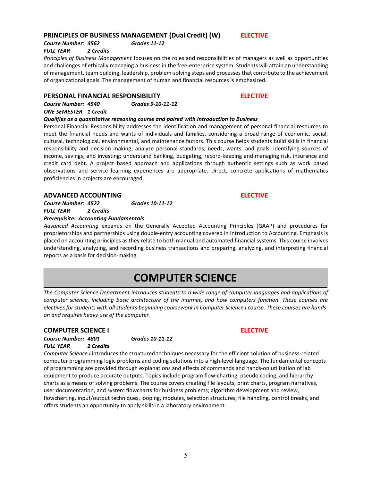### 5

### **PRINCIPLES OF BUSINESS MANAGEMENT (Dual Credit) (W) ELECTIVE**

*Course Number: 4562 Grades 11-12*

### *FULL YEAR 2 Credits*

*Principles of Business Management* focuses on the roles and responsibilities of managers as well as opportunities and challenges of ethically managing a business in the free-enterprise system. Students will attain an understanding of management, team building, leadership, problem-solving steps and processes that contribute to the achievement of organizational goals. The management of human and financial resources is emphasized.

### **PERSONAL FINANCIAL RESPONSIBILITY ELECTIVE**

*Course Number: 4540 Grades 9-10-11-12 ONE SEMESTER 1 Credit*

*Qualifies as a quantitative reasoning course and paired with Introduction to Business*

Personal Financial Responsibility addresses the identification and management of personal financial resources to meet the financial needs and wants of individuals and families, considering a broad range of economic, social, cultural, technological, environmental, and maintenance factors. This course helps students build skills in financial responsibility and decision making; analyze personal standards, needs, wants, and goals, identifying sources of income, savings, and investing; understand banking, budgeting, record-keeping and managing risk, insurance and credit card debt. A project based approach and applications through authentic settings such as work based observations and service learning experiences are appropriate. Direct, concrete applications of mathematics proficiencies in projects are encouraged.

### **ADVANCED ACCOUNTING ELECTIVE**

*Course Number: 4522 Grades 10-11-12 FULL YEAR 2 Credits*

*Course Number: 4801 Grades 10-11-12*

#### *Prerequisite: Accounting Fundamentals*

*Advanced Accounting* expands on the Generally Accepted Accounting Principles (GAAP) and procedures for proprietorships and partnerships using double-entry accounting covered in Introduction to Accounting. Emphasis is placed on accounting principles as they relate to both manual and automated financial systems. This course involves understanding, analyzing, and recording business transactions and preparing, analyzing, and interpreting financial reports as a basis for decision-making.

## **COMPUTER SCIENCE**

*The Computer Science Department introduces students to a wide range of computer languages and applications of computer science, including basic architecture of the internet, and how computers function. These courses are electives for students with all students beginning coursework in Computer Science I course. These courses are handson and requires heavy use of the computer.*

#### **COMPUTER SCIENCE I ELECTIVE**

*FULL YEAR 2 Credits Computer Science I* introduces the structured techniques necessary for the efficient solution of business-related computer programming logic problems and coding solutions into a high-level language. The fundamental concepts of programming are provided through explanations and effects of commands and hands-on utilization of lab equipment to produce accurate outputs. Topics include program flow-charting, pseudo coding, and hierarchy charts as a means of solving problems. The course covers creating file layouts, print charts, program narratives, user documentation, and system flowcharts for business problems; algorithm development and review, flowcharting, input/output techniques, looping, modules, selection structures, file handling, control breaks, and offers students an opportunity to apply skills in a laboratory environment.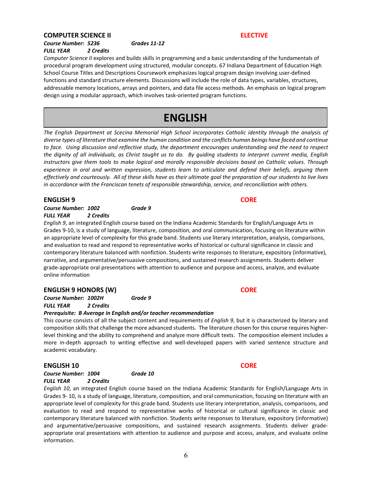#### **COMPUTER SCIENCE II ELECTIVE**

*Course Number: 5236 Grades 11-12 FULL YEAR 2 Credits*

*Computer Science II* explores and builds skills in programming and a basic understanding of the fundamentals of procedural program development using structured, modular concepts. 67 Indiana Department of Education High School Course Titles and Descriptions Coursework emphasizes logical program design involving user-defined functions and standard structure elements. Discussions will include the role of data types, variables, structures, addressable memory locations, arrays and pointers, and data file access methods. An emphasis on logical program design using a modular approach, which involves task-oriented program functions.

## **ENGLISH**

*The English Department at Scecina Memorial High School incorporates Catholic identity through the analysis of diverse types of literature that examine the human condition and the conflicts human beings have faced and continue to face. Using discussion and reflective study, the department encourages understanding and the need to respect the dignity of all individuals, as Christ taught us to do. By guiding students to interpret current media, English instructors give them tools to make logical and morally responsible decisions based on Catholic values. Through experience in oral and written expression, students learn to articulate and defend their beliefs, arguing them effectively and courteously. All of these skills have as their ultimate goal the preparation of our students to live lives in accordance with the Franciscan tenets of responsible stewardship, service, and reconciliation with others.* 

### **ENGLISH 9 CORE**

*Course Number: 1002 Grade 9 FULL YEAR 2 Credits*

*English 9*, an integrated English course based on the Indiana Academic Standards for English/Language Arts in Grades 9-10, is a study of language, literature, composition, and oral communication, focusing on literature within an appropriate level of complexity for this grade band. Students use literary interpretation, analysis, comparisons, and evaluation to read and respond to representative works of historical or cultural significance in classic and contemporary literature balanced with nonfiction. Students write responses to literature, expository (informative), narrative, and argumentative/persuasive compositions, and sustained research assignments. Students deliver grade-appropriate oral presentations with attention to audience and purpose and access, analyze, and evaluate online information

#### **ENGLISH 9 HONORS (W) CORE**

*Course Number: 1002H Grade 9 FULL YEAR 2 Credits*

#### *Prerequisite: B Average in English and/or teacher recommendation*

This course consists of all the subject content and requirements of *English 9*, but it is characterized by literary and composition skills that challenge the more advanced students. The literature chosen for this course requires higherlevel thinking and the ability to comprehend and analyze more difficult texts. The composition element includes a more in-depth approach to writing effective and well-developed papers with varied sentence structure and academic vocabulary.

#### **ENGLISH 10 CORE**

*Course Number: 1004 Grade 10 FULL YEAR 2 Credits* 

*English 10*, an integrated English course based on the Indiana Academic Standards for English/Language Arts in Grades 9- 10, is a study of language, literature, composition, and oral communication, focusing on literature with an appropriate level of complexity for this grade band. Students use literary interpretation, analysis, comparisons, and evaluation to read and respond to representative works of historical or cultural significance in classic and contemporary literature balanced with nonfiction. Students write responses to literature, expository (informative) and argumentative/persuasive compositions, and sustained research assignments. Students deliver gradeappropriate oral presentations with attention to audience and purpose and access, analyze, and evaluate online information.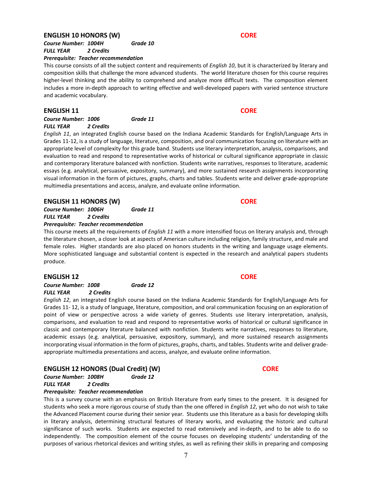#### **ENGLISH 10 HONORS (W) CORE**

*Course Number: 1004H Grade 10 FULL YEAR 2 Credits*

#### *Prerequisite: Teacher recommendation*

This course consists of all the subject content and requirements of *English 10*, but it is characterized by literary and composition skills that challenge the more advanced students. The world literature chosen for this course requires higher-level thinking and the ability to comprehend and analyze more difficult texts. The composition element includes a more in-depth approach to writing effective and well-developed papers with varied sentence structure and academic vocabulary.

#### **ENGLISH 11 CORE**

#### *Course Number: 1006 Grade 11 FULL YEAR 2 Credits*

*English 11*, an integrated English course based on the Indiana Academic Standards for English/Language Arts in Grades 11-12, is a study of language, literature, composition, and oral communication focusing on literature with an appropriate level of complexity for this grade band. Students use literary interpretation, analysis, comparisons, and evaluation to read and respond to representative works of historical or cultural significance appropriate in classic and contemporary literature balanced with nonfiction. Students write narratives, responses to literature, academic essays (e.g. analytical, persuasive, expository, summary), and more sustained research assignments incorporating visual information in the form of pictures, graphs, charts and tables. Students write and deliver grade-appropriate multimedia presentations and access, analyze, and evaluate online information.

### **ENGLISH 11 HONORS (W) CORE**

*Course Number: 1006H Grade 11 FULL YEAR 2 Credits*

#### *Prerequisite: Teacher recommendation*

This course meets all the requirements of *English 11* with a more intensified focus on literary analysis and, through the literature chosen, a closer look at aspects of American culture including religion, family structure, and male and female roles. Higher standards are also placed on honors students in the writing and language usage elements. More sophisticated language and substantial content is expected in the research and analytical papers students produce.

#### **ENGLISH 12 CORE**

*Course Number: 1008 Grade 12 FULL YEAR 2 Credits*

*English 12*, an integrated English course based on the Indiana Academic Standards for English/Language Arts for Grades 11- 12, is a study of language, literature, composition, and oral communication focusing on an exploration of point of view or perspective across a wide variety of genres. Students use literary interpretation, analysis, comparisons, and evaluation to read and respond to representative works of historical or cultural significance in classic and contemporary literature balanced with nonfiction. Students write narratives, responses to literature, academic essays (e.g. analytical, persuasive, expository, summary), and more sustained research assignments incorporating visual information in the form of pictures, graphs, charts, and tables. Students write and deliver gradeappropriate multimedia presentations and access, analyze, and evaluate online information.

### **ENGLISH 12 HONORS (Dual Credit) (W) CORE**

| Course Number: 1008H | Grade 12 |
|----------------------|----------|
|                      |          |

*FULL YEAR 2 Credits*

#### *Prerequisite: Teacher recommendation*

This is a survey course with an emphasis on British literature from early times to the present. It is designed for students who seek a more rigorous course of study than the one offered in *English 12*, yet who do not wish to take the Advanced Placement course during their senior year. Students use this literature as a basis for developing skills in literary analysis, determining structural features of literary works, and evaluating the historic and cultural significance of such works. Students are expected to read extensively and in-depth, and to be able to do so independently. The composition element of the course focuses on developing students' understanding of the purposes of various rhetorical devices and writing styles, as well as refining their skills in preparing and composing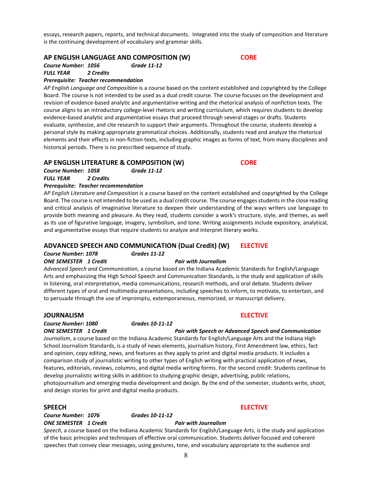essays, research papers, reports, and technical documents. Integrated into the study of composition and literature is the continuing development of vocabulary and grammar skills.

### **AP ENGLISH LANGUAGE AND COMPOSITION (W) CORE**

*Course Number: 1056 Grade 11-12*

### *FULL YEAR 2 Credits*

#### *Prerequisite: Teacher recommendation*

*AP English Language and Composition* is a course based on the content established and copyrighted by the College Board. The course is not intended to be used as a dual credit course. The course focuses on the development and revision of evidence-based analytic and argumentative writing and the rhetorical analysis of nonfiction texts. The course aligns to an introductory college-level rhetoric and writing curriculum, which requires students to develop evidence-based analytic and argumentative essays that proceed through several stages or drafts. Students evaluate, synthesize, and cite research to support their arguments. Throughout the course, students develop a personal style by making appropriate grammatical choices. Additionally, students read and analyze the rhetorical elements and their effects in non-fiction texts, including graphic images as forms of text, from many disciplines and historical periods. There is no prescribed sequence of study.

### **AP ENGLISH LITERATURE & COMPOSITION (W) CORE**

*Course Number: 1058 Grade 11-12 FULL YEAR 2 Credits*

#### *Prerequisite: Teacher recommendation*

*AP English Literature and Composition* is a course based on the content established and copyrighted by the College Board. The course is not intended to be used as a dual credit course. The course engages students in the close reading and critical analysis of imaginative literature to deepen their understanding of the ways writers use language to provide both meaning and pleasure. As they read, students consider a work's structure, style, and themes, as well as its use of figurative language, imagery, symbolism, and tone. Writing assignments include expository, analytical, and argumentative essays that require students to analyze and interpret literary works.

### **ADVANCED SPEECH AND COMMUNICATION (Dual Credit) (W) ELECTIVE**

*Course Number: 1078 Grades 11-12 ONE SEMESTER 1 Credit Pair with Journalism*

*Advanced Speech and Communication*, a course based on the Indiana Academic Standards for English/Language Arts and emphasizing the High School Speech and Communication Standards, is the study and application of skills in listening, oral interpretation, media communications, research methods, and oral debate. Students deliver different types of oral and multimedia presentations, including speeches to inform, to motivate, to entertain, and to persuade through the use of impromptu, extemporaneous, memorized, or manuscript delivery.

#### **JOURNALISM ELECTIVE**

*Course Number: 1080 Grades 10-11-12*

*ONE SEMESTER 1 Credit Pair with Speech or Advanced Speech and Communication*

*Journalism*, a course based on the Indiana Academic Standards for English/Language Arts and the Indiana High School Journalism Standards, is a study of news elements, journalism history, First Amendment law, ethics, fact and opinion, copy editing, news, and features as they apply to print and digital media products. It includes a comparison study of journalistic writing to other types of English writing with practical application of news, features, editorials, reviews, columns, and digital media writing forms. For the second credit: Students continue to develop journalistic writing skills in addition to studying graphic design, advertising, public relations, photojournalism and emerging media development and design. By the end of the semester, students write, shoot, and design stories for print and digital media products.

*Course Number: 1076 Grades 10-11-12 ONE SEMESTER 1 Credit Pair with Journalism*

### **SPEECH ELECTIVE**

*Speech*, a course based on the Indiana Academic Standards for English/Language Arts, is the study and application of the basic principles and techniques of effective oral communication. Students deliver focused and coherent speeches that convey clear messages, using gestures, tone, and vocabulary appropriate to the audience and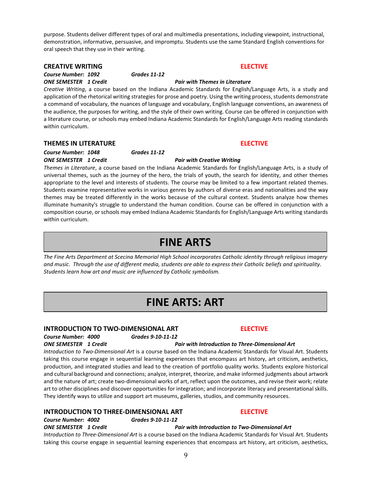purpose. Students deliver different types of oral and multimedia presentations, including viewpoint, instructional, demonstration, informative, persuasive, and impromptu. Students use the same Standard English conventions for oral speech that they use in their writing.

### **CREATIVE WRITING ELECTIVE**

*Course Number: 1092 Grades 11-12*

*Creative Writing*, a course based on the Indiana Academic Standards for English/Language Arts, is a study and application of the rhetorical writing strategies for prose and poetry. Using the writing process, students demonstrate a command of vocabulary, the nuances of language and vocabulary, English language conventions, an awareness of the audience, the purposes for writing, and the style of their own writing. Course can be offered in conjunction with a literature course, or schools may embed Indiana Academic Standards for English/Language Arts reading standards within curriculum.

### **THEMES IN LITERATURE ELECTIVE**

### *Course Number: 1048 Grades 11-12 ONE SEMESTER 1 Credit Pair with Creative Writing*

*Themes in Literature*, a course based on the Indiana Academic Standards for English/Language Arts, is a study of universal themes, such as the journey of the hero, the trials of youth, the search for identity, and other themes appropriate to the level and interests of students. The course may be limited to a few important related themes. Students examine representative works in various genres by authors of diverse eras and nationalities and the way themes may be treated differently in the works because of the cultural context. Students analyze how themes illuminate humanity's struggle to understand the human condition. Course can be offered in conjunction with a composition course, or schools may embed Indiana Academic Standards for English/Language Arts writing standards within curriculum.

## **FINE ARTS**

*The Fine Arts Department at Scecina Memorial High School incorporates Catholic identity through religious imagery and music. Through the use of different media, students are able to express their Catholic beliefs and spirituality. Students learn how art and music are influenced by Catholic symbolism.*

## **FINE ARTS: ART**

### **INTRODUCTION TO TWO-DIMENSIONAL ART ELECTIVE**

*Course Number: 4000 Grades 9-10-11-12*

### *ONE SEMESTER 1 Credit Pair with Introduction to Three-Dimensional Art*

*Introduction to Two-Dimensional Art* is a course based on the Indiana Academic Standards for Visual Art. Students taking this course engage in sequential learning experiences that encompass art history, art criticism, aesthetics, production, and integrated studies and lead to the creation of portfolio quality works. Students explore historical and cultural background and connections; analyze, interpret, theorize, and make informed judgments about artwork and the nature of art; create two-dimensional works of art, reflect upon the outcomes, and revise their work; relate art to other disciplines and discover opportunities for integration; and incorporate literacy and presentational skills. They identify ways to utilize and support art museums, galleries, studios, and community resources.

### **INTRODUCTION TO THREE-DIMENSIONAL ART ELECTIVE**

*Course Number: 4002 Grades 9-10-11-12*

### *ONE SEMESTER 1 Credit Pair with Introduction to Two-Dimensional Art*

*Introduction to Three-Dimensional Art* is a course based on the Indiana Academic Standards for Visual Art. Students taking this course engage in sequential learning experiences that encompass art history, art criticism, aesthetics,

### *ONE SEMESTER 1 Credit Pair with Themes in Literature*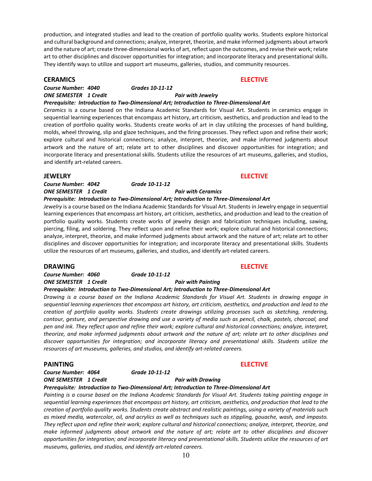production, and integrated studies and lead to the creation of portfolio quality works. Students explore historical and cultural background and connections; analyze, interpret, theorize, and make informed judgments about artwork and the nature of art; create three-dimensional works of art, reflect upon the outcomes, and revise their work; relate art to other disciplines and discover opportunities for integration; and incorporate literacy and presentational skills. They identify ways to utilize and support art museums, galleries, studios, and community resources.

#### **CERAMICS ELECTIVE**

#### *Course Number: 4040 Grades 10-11-12 ONE SEMESTER 1 Credit Pair with Jewelry*

### *Prerequisite: Introduction to Two-Dimensional Art; Introduction to Three-Dimensional Art*

*Ceramics* is a course based on the Indiana Academic Standards for Visual Art. Students in ceramics engage in sequential learning experiences that encompass art history, art criticism, aesthetics, and production and lead to the creation of portfolio quality works. Students create works of art in clay utilizing the processes of hand building, molds, wheel throwing, slip and glaze techniques, and the firing processes. They reflect upon and refine their work; explore cultural and historical connections; analyze, interpret, theorize, and make informed judgments about artwork and the nature of art; relate art to other disciplines and discover opportunities for integration; and incorporate literacy and presentational skills. Students utilize the resources of art museums, galleries, and studios, and identify art-related careers.

*Course Number: 4042 Grade 10-11-12 ONE SEMESTER 1 Credit Pair with Ceramics*

### *Prerequisite: Introduction to Two-Dimensional Art; Introduction to Three-Dimensional Art*

*Jewelry* is a course based on the Indiana Academic Standards for Visual Art. Students in Jewelry engage in sequential learning experiences that encompass art history, art criticism, aesthetics, and production and lead to the creation of portfolio quality works. Students create works of jewelry design and fabrication techniques including, sawing, piercing, filing, and soldering. They reflect upon and refine their work; explore cultural and historical connections; analyze, interpret, theorize, and make informed judgments about artwork and the nature of art; relate art to other disciplines and discover opportunities for integration; and incorporate literacy and presentational skills. Students utilize the resources of art museums, galleries, and studios, and identify art-related careers.

### **DRAWING ELECTIVE**

*Course Number: 4060 Grade 10-11-12 ONE SEMESTER 1 Credit Pair with Painting*

### *Prerequisite: Introduction to Two-Dimensional Art; Introduction to Three-Dimensional Art*

*Drawing is a course based on the Indiana Academic Standards for Visual Art. Students in drawing engage in sequential learning experiences that encompass art history, art criticism, aesthetics, and production and lead to the creation of portfolio quality works. Students create drawings utilizing processes such as sketching, rendering, contour, gesture, and perspective drawing and use a variety of media such as pencil, chalk, pastels, charcoal, and pen and ink. They reflect upon and refine their work; explore cultural and historical connections; analyze, interpret, theorize, and make informed judgments about artwork and the nature of art; relate art to other disciplines and discover opportunities for integration; and incorporate literacy and presentational skills. Students utilize the resources of art museums, galleries, and studios, and identify art-related careers.*

#### **PAINTING ELECTIVE**

#### *Course Number: 4064 Grade 10-11-12 ONE SEMESTER 1 Credit Pair with Drawing*

#### *Prerequisite: Introduction to Two-Dimensional Art; Introduction to Three-Dimensional Art*

*Painting is a course based on the Indiana Academic Standards for Visual Art. Students taking painting engage in sequential learning experiences that encompass art history, art criticism, aesthetics, and production that lead to the creation of portfolio quality works. Students create abstract and realistic paintings, using a variety of materials such as mixed media, watercolor, oil, and acrylics as well as techniques such as stippling, gouache, wash, and impasto. They reflect upon and refine their work; explore cultural and historical connections; analyze, interpret, theorize, and make informed judgments about artwork and the nature of art; relate art to other disciplines and discover opportunities for integration; and incorporate literacy and presentational skills. Students utilize the resources of art museums, galleries, and studios, and identify art-related careers.*

**JEWELRY ELECTIVE**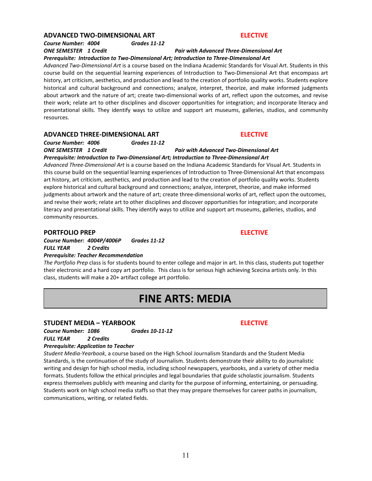#### **ADVANCED TWO-DIMENSIONAL ART ELECTIVE**

*Course Number: 4004 Grades 11-12*

#### *ONE SEMESTER 1 Credit Pair with Advanced Three-Dimensional Art Prerequisite: Introduction to Two-Dimensional Art; Introduction to Three-Dimensional Art*

*Advanced Two-Dimensional Art* is a course based on the Indiana Academic Standards for Visual Art. Students in this course build on the sequential learning experiences of Introduction to Two-Dimensional Art that encompass art history, art criticism, aesthetics, and production and lead to the creation of portfolio quality works. Students explore historical and cultural background and connections; analyze, interpret, theorize, and make informed judgments about artwork and the nature of art; create two-dimensional works of art, reflect upon the outcomes, and revise their work; relate art to other disciplines and discover opportunities for integration; and incorporate literacy and presentational skills. They identify ways to utilize and support art museums, galleries, studios, and community resources.

### **ADVANCED THREE-DIMENSIONAL ART ELECTIVE**

*Course Number: 4006 Grades 11-12*

*ONE SEMESTER 1 Credit Pair with Advanced Two-Dimensional Art*

*Prerequisite: Introduction to Two-Dimensional Art; Introduction to Three-Dimensional Art Advanced Three-Dimensional Art* is a course based on the Indiana Academic Standards for Visual Art. Students in this course build on the sequential learning experiences of Introduction to Three-Dimensional Art that encompass art history, art criticism, aesthetics, and production and lead to the creation of portfolio quality works. Students explore historical and cultural background and connections; analyze, interpret, theorize, and make informed judgments about artwork and the nature of art; create three-dimensional works of art, reflect upon the outcomes, and revise their work; relate art to other disciplines and discover opportunities for integration; and incorporate literacy and presentational skills. They identify ways to utilize and support art museums, galleries, studios, and community resources.

### **PORTFOLIO PREP ELECTIVE**

*Course Number: 4004P/4006P Grades 11-12 FULL YEAR 2 Credits*

#### *Prerequisite: Teacher Recommendation*

*The Portfolio Prep* class is for students bound to enter college and major in art. In this class, students put together their electronic and a hard copy art portfolio. This class is for serious high achieving Scecina artists only. In this class, students will make a 20+ artifact college art portfolio.

## **FINE ARTS: MEDIA**

### **STUDENT MEDIA – YEARBOOK ELECTIVE**

*Course Number: 1086 Grades 10-11-12 FULL YEAR 2 Credits*

#### *Prerequisite: Application to Teacher*

*Student Media-Yearbook*, a course based on the High School Journalism Standards and the Student Media Standards, is the continuation of the study of Journalism. Students demonstrate their ability to do journalistic writing and design for high school media, including school newspapers, yearbooks, and a variety of other media formats. Students follow the ethical principles and legal boundaries that guide scholastic journalism. Students express themselves publicly with meaning and clarity for the purpose of informing, entertaining, or persuading. Students work on high school media staffs so that they may prepare themselves for career paths in journalism, communications, writing, or related fields.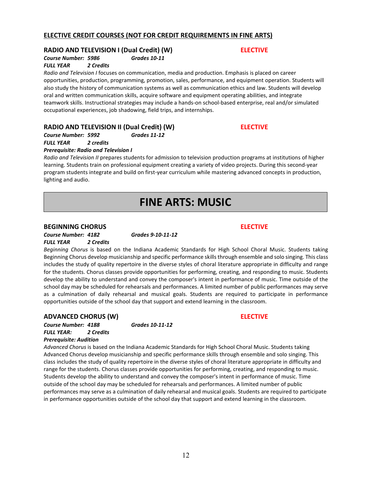### **ELECTIVE CREDIT COURSES (NOT FOR CREDIT REQUIREMENTS IN FINE ARTS)**

### **RADIO AND TELEVISION I (Dual Credit) (W) ELECTIVE**

## *Course Number: 5986 Grades 10-11*

*FULL YEAR 2 Credits*

*Radio and Television I* focuses on communication, media and production. Emphasis is placed on career opportunities, production, programming, promotion, sales, performance, and equipment operation. Students will also study the history of communication systems as well as communication ethics and law. Students will develop oral and written communication skills, acquire software and equipment operating abilities, and integrate teamwork skills. Instructional strategies may include a hands-on school-based enterprise, real and/or simulated occupational experiences, job shadowing, field trips, and internships.

### **RADIO AND TELEVISION II (Dual Credit) (W) ELECTIVE**

*Course Number: 5992 Grades 11-12*

*FULL YEAR 2 credits*

#### *Prerequisite: Radio and Television I*

*Radio and Television II* prepares students for admission to television production programs at institutions of higher learning. Students train on professional equipment creating a variety of video projects. During this second-year program students integrate and build on first-year curriculum while mastering advanced concepts in production, lighting and audio.

## **FINE ARTS: MUSIC**

### **BEGINNING CHORUS ELECTIVE**

*Course Number: 4182 Grades 9-10-11-12 FULL YEAR 2 Credits*

*Beginning Chorus* is based on the Indiana Academic Standards for High School Choral Music. Students taking Beginning Chorus develop musicianship and specific performance skills through ensemble and solo singing. This class includes the study of quality repertoire in the diverse styles of choral literature appropriate in difficulty and range for the students. Chorus classes provide opportunities for performing, creating, and responding to music. Students develop the ability to understand and convey the composer's intent in performance of music. Time outside of the school day may be scheduled for rehearsals and performances. A limited number of public performances may serve as a culmination of daily rehearsal and musical goals. Students are required to participate in performance opportunities outside of the school day that support and extend learning in the classroom.

### **ADVANCED CHORUS (W) ELECTIVE**

*Course Number: 4188 Grades 10-11-12 FULL YEAR: 2 Credits Prerequisite: Audition*

*Advanced Chorus* is based on the Indiana Academic Standards for High School Choral Music. Students taking Advanced Chorus develop musicianship and specific performance skills through ensemble and solo singing. This class includes the study of quality repertoire in the diverse styles of choral literature appropriate in difficulty and range for the students. Chorus classes provide opportunities for performing, creating, and responding to music. Students develop the ability to understand and convey the composer's intent in performance of music. Time outside of the school day may be scheduled for rehearsals and performances. A limited number of public performances may serve as a culmination of daily rehearsal and musical goals. Students are required to participate in performance opportunities outside of the school day that support and extend learning in the classroom.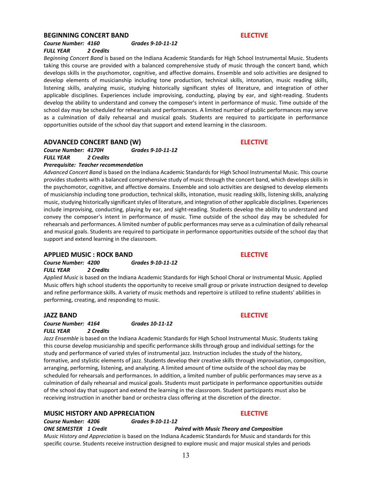#### **BEGINNING CONCERT BAND ELECTIVE**

### *Course Number: 4160 Grades 9-10-11-12 FULL YEAR 2 Credits*

### *Beginning Concert Band* is based on the Indiana Academic Standards for High School Instrumental Music. Students taking this course are provided with a balanced comprehensive study of music through the concert band, which develops skills in the psychomotor, cognitive, and affective domains. Ensemble and solo activities are designed to develop elements of musicianship including tone production, technical skills, intonation, music reading skills, listening skills, analyzing music, studying historically significant styles of literature, and integration of other applicable disciplines. Experiences include improvising, conducting, playing by ear, and sight-reading. Students

develop the ability to understand and convey the composer's intent in performance of music. Time outside of the school day may be scheduled for rehearsals and performances. A limited number of public performances may serve as a culmination of daily rehearsal and musical goals. Students are required to participate in performance opportunities outside of the school day that support and extend learning in the classroom.

### **ADVANCED CONCERT BAND (W) ELECTIVE**

#### *Course Number: 4170H Grades 9-10-11-12 FULL YEAR 2 Credits Prerequisite: Teacher recommendation*

*Advanced Concert Band* is based on the Indiana Academic Standards for High School Instrumental Music. This course provides students with a balanced comprehensive study of music through the concert band, which develops skills in the psychomotor, cognitive, and affective domains. Ensemble and solo activities are designed to develop elements of musicianship including tone production, technical skills, intonation, music reading skills, listening skills, analyzing music, studying historically significant styles of literature, and integration of other applicable disciplines. Experiences include improvising, conducting, playing by ear, and sight-reading. Students develop the ability to understand and convey the composer's intent in performance of music. Time outside of the school day may be scheduled for rehearsals and performances. A limited number of public performances may serve as a culmination of daily rehearsal and musical goals. Students are required to participate in performance opportunities outside of the school day that support and extend learning in the classroom.

#### **APPLIED MUSIC : ROCK BAND ELECTIVE**

*Course Number: 4200 Grades 9-10-11-12 FULL YEAR 2 Credits*

*Applied Music* is based on the Indiana Academic Standards for High School Choral or Instrumental Music. Applied Music offers high school students the opportunity to receive small group or private instruction designed to develop and refine performance skills. A variety of music methods and repertoire is utilized to refine students' abilities in performing, creating, and responding to music.

### **JAZZ BAND ELECTIVE**

*Course Number: 4164 Grades 10-11-12 FULL YEAR 2 Credits*

*Jazz Ensemble* is based on the Indiana Academic Standards for High School Instrumental Music. Students taking this course develop musicianship and specific performance skills through group and individual settings for the study and performance of varied styles of instrumental jazz. Instruction includes the study of the history, formative, and stylistic elements of jazz. Students develop their creative skills through improvisation, composition, arranging, performing, listening, and analyzing. A limited amount of time outside of the school day may be scheduled for rehearsals and performances. In addition, a limited number of public performances may serve as a culmination of daily rehearsal and musical goals. Students must participate in performance opportunities outside of the school day that support and extend the learning in the classroom. Student participants must also be receiving instruction in another band or orchestra class offering at the discretion of the director.

### **MUSIC HISTORY AND APPRECIATION ELECTIVE**

*Course Number: 4206 Grades 9-10-11-12*

*ONE SEMESTER 1 Credit Paired with Music Theory and Composition*

*Music History and Appreciation* is based on the Indiana Academic Standards for Music and standards for this specific course. Students receive instruction designed to explore music and major musical styles and periods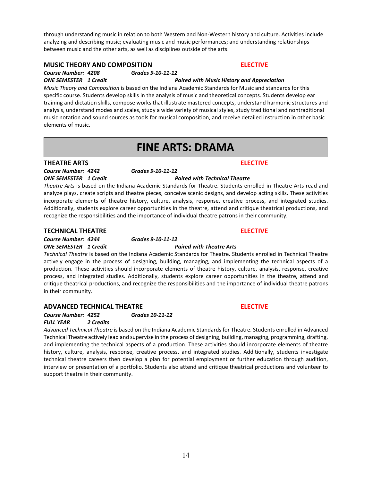through understanding music in relation to both Western and Non-Western history and culture. Activities include analyzing and describing music; evaluating music and music performances; and understanding relationships between music and the other arts, as well as disciplines outside of the arts.

### **MUSIC THEORY AND COMPOSITION ELECTIVE**

### *Course Number: 4208 Grades 9-10-11-12*

*ONE SEMESTER 1 Credit**Paired with Music History and Appreciation* *Music Theory and Composition* is based on the Indiana Academic Standards for Music and standards for this specific course. Students develop skills in the analysis of music and theoretical concepts. Students develop ear training and dictation skills, compose works that illustrate mastered concepts, understand harmonic structures and analysis, understand modes and scales, study a wide variety of musical styles, study traditional and nontraditional music notation and sound sources as tools for musical composition, and receive detailed instruction in other basic elements of music.

## **FINE ARTS: DRAMA**

### **THEATRE ARTS ELECTIVE**

*Course Number: 4242 Grades 9-10-11-12 ONE SEMESTER 1 Credit Paired with Technical Theatre*

*Theatre Arts* is based on the Indiana Academic Standards for Theatre. Students enrolled in Theatre Arts read and analyze plays, create scripts and theatre pieces, conceive scenic designs, and develop acting skills. These activities incorporate elements of theatre history, culture, analysis, response, creative process, and integrated studies. Additionally, students explore career opportunities in the theatre, attend and critique theatrical productions, and recognize the responsibilities and the importance of individual theatre patrons in their community.

### **TECHNICAL THEATRE ELECTIVE**

*Course Number: 4244 Grades 9-10-11-12 ONE SEMESTER 1 Credit Paired with Theatre Arts*

*Technical Theatre* is based on the Indiana Academic Standards for Theatre. Students enrolled in Technical Theatre actively engage in the process of designing, building, managing, and implementing the technical aspects of a production. These activities should incorporate elements of theatre history, culture, analysis, response, creative process, and integrated studies. Additionally, students explore career opportunities in the theatre, attend and critique theatrical productions, and recognize the responsibilities and the importance of individual theatre patrons in their community.

### **ADVANCED TECHNICAL THEATRE ELECTIVE**

*Course Number: 4252 Grades 10-11-12*

*FULL YEAR 2 Credits*

*Advanced Technical Theatre* is based on the Indiana Academic Standards for Theatre. Students enrolled in Advanced Technical Theatre actively lead and supervise in the process of designing, building, managing, programming, drafting, and implementing the technical aspects of a production. These activities should incorporate elements of theatre history, culture, analysis, response, creative process, and integrated studies. Additionally, students investigate technical theatre careers then develop a plan for potential employment or further education through audition, interview or presentation of a portfolio. Students also attend and critique theatrical productions and volunteer to support theatre in their community.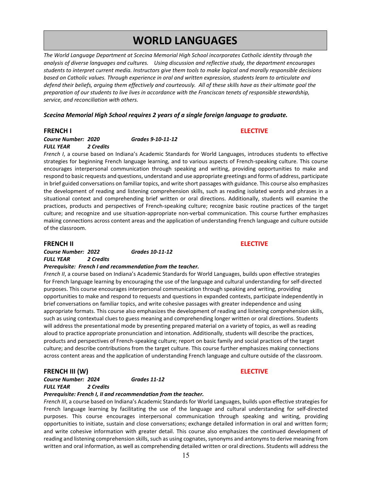## **WORLD LANGUAGES**

*The World Language Department at Scecina Memorial High School incorporates Catholic identity through the analysis of diverse languages and cultures. Using discussion and reflective study, the department encourages students to interpret current media. Instructors give them tools to make logical and morally responsible decisions based on Catholic values. Through experience in oral and written expression, students learn to articulate and defend their beliefs, arguing them effectively and courteously. All of these skills have as their ultimate goal the preparation of our students to live lives in accordance with the Franciscan tenets of responsible stewardship, service, and reconciliation with others.* 

#### *Scecina Memorial High School requires 2 years of a single foreign language to graduate.*

### **FRENCH I ELECTIVE**

*Course Number: 2020 Grades 9-10-11-12 FULL YEAR 2 Credits*

*French I*, a course based on Indiana's Academic Standards for World Languages, introduces students to effective strategies for beginning French language learning, and to various aspects of French-speaking culture. This course encourages interpersonal communication through speaking and writing, providing opportunities to make and respond to basic requests and questions, understand and use appropriate greetings and forms of address, participate in brief guided conversations on familiar topics, and write short passages with guidance. This course also emphasizes the development of reading and listening comprehension skills, such as reading isolated words and phrases in a situational context and comprehending brief written or oral directions. Additionally, students will examine the practices, products and perspectives of French-speaking culture; recognize basic routine practices of the target culture; and recognize and use situation-appropriate non-verbal communication. This course further emphasizes making connections across content areas and the application of understanding French language and culture outside of the classroom.

#### **FRENCH II ELECTIVE**

*Course Number: 2022 Grades 10-11-12 FULL YEAR 2 Credits*

#### *Prerequisite: French I and recommendation from the teacher.*

*French II*, a course based on Indiana's Academic Standards for World Languages, builds upon effective strategies for French language learning by encouraging the use of the language and cultural understanding for self-directed purposes. This course encourages interpersonal communication through speaking and writing, providing opportunities to make and respond to requests and questions in expanded contexts, participate independently in brief conversations on familiar topics, and write cohesive passages with greater independence and using appropriate formats. This course also emphasizes the development of reading and listening comprehension skills, such as using contextual clues to guess meaning and comprehending longer written or oral directions. Students will address the presentational mode by presenting prepared material on a variety of topics, as well as reading aloud to practice appropriate pronunciation and intonation. Additionally, students will describe the practices, products and perspectives of French-speaking culture; report on basic family and social practices of the target culture; and describe contributions from the target culture. This course further emphasizes making connections across content areas and the application of understanding French language and culture outside of the classroom.

#### **FRENCH III (W) ELECTIVE**

*Course Number: 2024 Grades 11-12 FULL YEAR 2 Credits* 

#### *Prerequisite: French I, II and recommendation from the teacher.*

*French III*, a course based on Indiana's Academic Standards for World Languages, builds upon effective strategies for French language learning by facilitating the use of the language and cultural understanding for self-directed purposes. This course encourages interpersonal communication through speaking and writing, providing opportunities to initiate, sustain and close conversations; exchange detailed information in oral and written form; and write cohesive information with greater detail. This course also emphasizes the continued development of reading and listening comprehension skills, such as using cognates, synonyms and antonyms to derive meaning from written and oral information, as well as comprehending detailed written or oral directions. Students will address the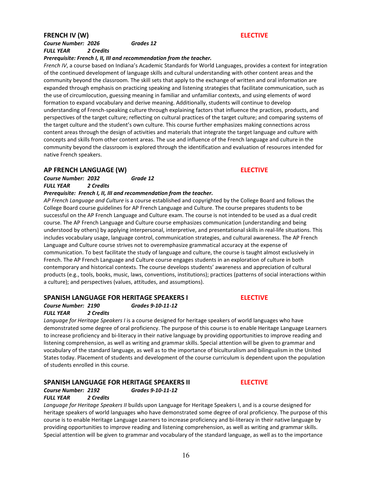### **FRENCH IV (W) ELECTIVE**

### *Course Number: 2026 Grades 12 FULL YEAR 2 Credits*

#### *Prerequisite: French I, II, III and recommendation from the teacher.*

*French IV*, a course based on Indiana's Academic Standards for World Languages, provides a context for integration of the continued development of language skills and cultural understanding with other content areas and the community beyond the classroom. The skill sets that apply to the exchange of written and oral information are expanded through emphasis on practicing speaking and listening strategies that facilitate communication, such as the use of circumlocution, guessing meaning in familiar and unfamiliar contexts, and using elements of word formation to expand vocabulary and derive meaning. Additionally, students will continue to develop understanding of French-speaking culture through explaining factors that influence the practices, products, and perspectives of the target culture; reflecting on cultural practices of the target culture; and comparing systems of the target culture and the student's own culture. This course further emphasizes making connections across content areas through the design of activities and materials that integrate the target language and culture with concepts and skills from other content areas. The use and influence of the French language and culture in the community beyond the classroom is explored through the identification and evaluation of resources intended for native French speakers.

### **AP FRENCH LANGUAGE (W) ELECTIVE**

*Course Number: 2032 Grade 12 FULL YEAR 2 Credits*

## *Prerequisite: French I, II, III and recommendation from the teacher.*

*AP French Language and Culture* is a course established and copyrighted by the College Board and follows the College Board course guidelines for AP French Language and Culture. The course prepares students to be successful on the AP French Language and Culture exam. The course is not intended to be used as a dual credit course. The AP French Language and Culture course emphasizes communication (understanding and being understood by others) by applying interpersonal, interpretive, and presentational skills in real-life situations. This includes vocabulary usage, language control, communication strategies, and cultural awareness. The AP French Language and Culture course strives not to overemphasize grammatical accuracy at the expense of communication. To best facilitate the study of language and culture, the course is taught almost exclusively in French. The AP French Language and Culture course engages students in an exploration of culture in both contemporary and historical contexts. The course develops students' awareness and appreciation of cultural products (e.g., tools, books, music, laws, conventions, institutions); practices (patterns of social interactions within a culture); and perspectives (values, attitudes, and assumptions).

### **SPANISH LANGUAGE FOR HERITAGE SPEAKERS I ELECTIVE**

*Course Number: 2190 Grades 9-10-11-12 FULL YEAR 2 Credits*

*Language for Heritage Speakers I* is a course designed for heritage speakers of world languages who have demonstrated some degree of oral proficiency. The purpose of this course is to enable Heritage Language Learners to increase proficiency and bi-literacy in their native language by providing opportunities to improve reading and listening comprehension, as well as writing and grammar skills. Special attention will be given to grammar and vocabulary of the standard language, as well as to the importance of biculturalism and bilingualism in the United States today. Placement of students and development of the course curriculum is dependent upon the population of students enrolled in this course.

### **SPANISH LANGUAGE FOR HERITAGE SPEAKERS II ELECTIVE**

### *Course Number: 2192 Grades 9-10-11-12*

*FULL YEAR 2 Credits*

*Language for Heritage Speakers II* builds upon Language for Heritage Speakers I, and is a course designed for heritage speakers of world languages who have demonstrated some degree of oral proficiency. The purpose of this course is to enable Heritage Language Learners to increase proficiency and bi-literacy in their native language by providing opportunities to improve reading and listening comprehension, as well as writing and grammar skills. Special attention will be given to grammar and vocabulary of the standard language, as well as to the importance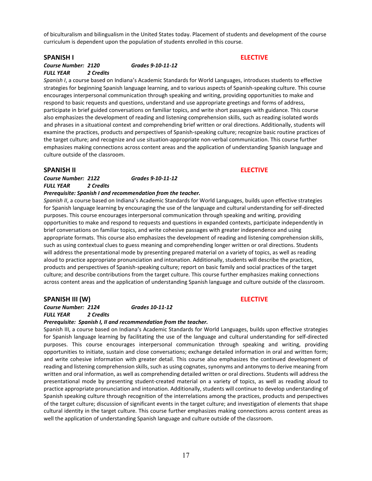of biculturalism and bilingualism in the United States today. Placement of students and development of the course curriculum is dependent upon the population of students enrolled in this course.

#### **SPANISH I ELECTIVE**

### *Course Number: 2120 Grades 9-10-11-12 FULL YEAR 2 Credits*

*Spanish I*, a course based on Indiana's Academic Standards for World Languages, introduces students to effective strategies for beginning Spanish language learning, and to various aspects of Spanish-speaking culture. This course encourages interpersonal communication through speaking and writing, providing opportunities to make and respond to basic requests and questions, understand and use appropriate greetings and forms of address, participate in brief guided conversations on familiar topics, and write short passages with guidance. This course also emphasizes the development of reading and listening comprehension skills, such as reading isolated words and phrases in a situational context and comprehending brief written or oral directions. Additionally, students will examine the practices, products and perspectives of Spanish-speaking culture; recognize basic routine practices of the target culture; and recognize and use situation-appropriate non-verbal communication. This course further emphasizes making connections across content areas and the application of understanding Spanish language and culture outside of the classroom.

#### **SPANISH II ELECTIVE**

*Course Number: 2122 Grades 9-10-11-12 FULL YEAR 2 Credits*

#### *Prerequisite: Spanish I and recommendation from the teacher.*

*Spanish II*, a course based on Indiana's Academic Standards for World Languages, builds upon effective strategies for Spanish language learning by encouraging the use of the language and cultural understanding for self-directed purposes. This course encourages interpersonal communication through speaking and writing, providing opportunities to make and respond to requests and questions in expanded contexts, participate independently in brief conversations on familiar topics, and write cohesive passages with greater independence and using appropriate formats. This course also emphasizes the development of reading and listening comprehension skills, such as using contextual clues to guess meaning and comprehending longer written or oral directions. Students will address the presentational mode by presenting prepared material on a variety of topics, as well as reading aloud to practice appropriate pronunciation and intonation. Additionally, students will describe the practices, products and perspectives of Spanish-speaking culture; report on basic family and social practices of the target culture; and describe contributions from the target culture. This course further emphasizes making connections across content areas and the application of understanding Spanish language and culture outside of the classroom.

#### **SPANISH III (W) ELECTIVE**

*Course Number: 2124 Grades 10-11-12 FULL YEAR 2 Credits* 

## *Prerequisite: Spanish I, II and recommendation from the teacher.*

Spanish III, a course based on Indiana's Academic Standards for World Languages, builds upon effective strategies for Spanish language learning by facilitating the use of the language and cultural understanding for self-directed purposes. This course encourages interpersonal communication through speaking and writing, providing opportunities to initiate, sustain and close conversations; exchange detailed information in oral and written form; and write cohesive information with greater detail. This course also emphasizes the continued development of reading and listening comprehension skills, such as using cognates, synonyms and antonyms to derive meaning from written and oral information, as well as comprehending detailed written or oral directions. Students will address the presentational mode by presenting student-created material on a variety of topics, as well as reading aloud to practice appropriate pronunciation and intonation. Additionally, students will continue to develop understanding of Spanish speaking culture through recognition of the interrelations among the practices, products and perspectives of the target culture; discussion of significant events in the target culture; and investigation of elements that shape cultural identity in the target culture. This course further emphasizes making connections across content areas as well the application of understanding Spanish language and culture outside of the classroom.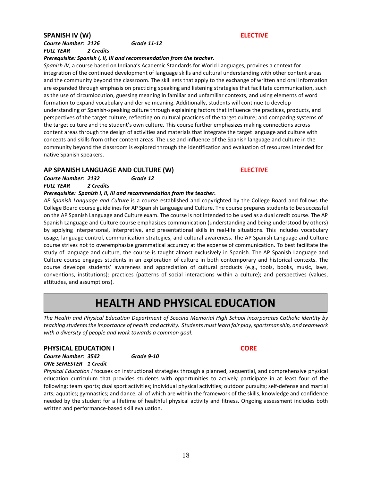### **SPANISH IV (W) ELECTIVE**

### *Course Number: 2126 Grade 11-12 FULL YEAR 2 Credits*

### *Prerequisite: Spanish I, II, III and recommendation from the teacher.*

*Spanish IV*, a course based on Indiana's Academic Standards for World Languages, provides a context for integration of the continued development of language skills and cultural understanding with other content areas and the community beyond the classroom. The skill sets that apply to the exchange of written and oral information are expanded through emphasis on practicing speaking and listening strategies that facilitate communication, such as the use of circumlocution, guessing meaning in familiar and unfamiliar contexts, and using elements of word formation to expand vocabulary and derive meaning. Additionally, students will continue to develop understanding of Spanish-speaking culture through explaining factors that influence the practices, products, and perspectives of the target culture; reflecting on cultural practices of the target culture; and comparing systems of the target culture and the student's own culture. This course further emphasizes making connections across content areas through the design of activities and materials that integrate the target language and culture with concepts and skills from other content areas. The use and influence of the Spanish language and culture in the community beyond the classroom is explored through the identification and evaluation of resources intended for native Spanish speakers.

### **AP SPANISH LANGUAGE AND CULTURE (W) ELECTIVE**

#### *Course Number: 2132 Grade 12 FULL YEAR 2 Credits*

### *Prerequisite: Spanish I, II, III and recommendation from the teacher.*

*AP Spanish Language and Culture* is a course established and copyrighted by the College Board and follows the College Board course guidelines for AP Spanish Language and Culture. The course prepares students to be successful on the AP Spanish Language and Culture exam. The course is not intended to be used as a dual credit course. The AP Spanish Language and Culture course emphasizes communication (understanding and being understood by others) by applying interpersonal, interpretive, and presentational skills in real-life situations. This includes vocabulary usage, language control, communication strategies, and cultural awareness. The AP Spanish Language and Culture course strives not to overemphasize grammatical accuracy at the expense of communication. To best facilitate the study of language and culture, the course is taught almost exclusively in Spanish. The AP Spanish Language and Culture course engages students in an exploration of culture in both contemporary and historical contexts. The course develops students' awareness and appreciation of cultural products (e.g., tools, books, music, laws, conventions, institutions); practices (patterns of social interactions within a culture); and perspectives (values, attitudes, and assumptions).

## **HEALTH AND PHYSICAL EDUCATION**

*The Health and Physical Education Department of Scecina Memorial High School incorporates Catholic identity by teaching students the importance of health and activity. Students must learn fair play, sportsmanship, and teamwork with a diversity of people and work towards a common goal.*

### **PHYSICAL EDUCATION I CORE**

*Course Number: 3542 Grade 9-10 ONE SEMESTER 1 Credit*

*Physical Education I* focuses on instructional strategies through a planned, sequential, and comprehensive physical education curriculum that provides students with opportunities to actively participate in at least four of the following: team sports; dual sport activities; individual physical activities; outdoor pursuits; self-defense and martial arts; aquatics; gymnastics; and dance, all of which are within the framework of the skills, knowledge and confidence needed by the student for a lifetime of healthful physical activity and fitness. Ongoing assessment includes both written and performance-based skill evaluation.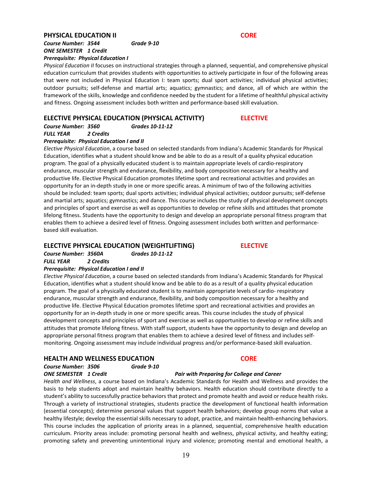#### **PHYSICAL EDUCATION II CORE**

### *Course Number: 3544 Grade 9-10 ONE SEMESTER 1 Credit Prerequisite: Physical Education I*

*Physical Education II* focuses on instructional strategies through a planned, sequential, and comprehensive physical education curriculum that provides students with opportunities to actively participate in four of the following areas that were not included in Physical Education I: team sports; dual sport activities; individual physical activities; outdoor pursuits; self-defense and martial arts; aquatics; gymnastics; and dance, all of which are within the framework of the skills, knowledge and confidence needed by the student for a lifetime of healthful physical activity and fitness. Ongoing assessment includes both written and performance-based skill evaluation.

### **ELECTIVE PHYSICAL EDUCATION (PHYSICAL ACTIVITY) ELECTIVE**

*Course Number: 3560 Grades 10-11-12 FULL YEAR 2 Credits*

#### *Prerequisite: Physical Education I and II*

*Elective Physical Education*, a course based on selected standards from Indiana's Academic Standards for Physical Education, identifies what a student should know and be able to do as a result of a quality physical education program. The goal of a physically educated student is to maintain appropriate levels of cardio-respiratory endurance, muscular strength and endurance, flexibility, and body composition necessary for a healthy and productive life. Elective Physical Education promotes lifetime sport and recreational activities and provides an opportunity for an in-depth study in one or more specific areas. A minimum of two of the following activities should be included: team sports; dual sports activities; individual physical activities; outdoor pursuits; self-defense and martial arts; aquatics; gymnastics; and dance. This course includes the study of physical development concepts and principles of sport and exercise as well as opportunities to develop or refine skills and attitudes that promote lifelong fitness. Students have the opportunity to design and develop an appropriate personal fitness program that enables them to achieve a desired level of fitness. Ongoing assessment includes both written and performancebased skill evaluation.

### **ELECTIVE PHYSICAL EDUCATION (WEIGHTLIFTING) ELECTIVE**

*Course Number: 3560A Grades 10-11-12 FULL YEAR 2 Credits* 

#### *Prerequisite: Physical Education I and II*

*Elective Physical Education*, a course based on selected standards from Indiana's Academic Standards for Physical Education, identifies what a student should know and be able to do as a result of a quality physical education program. The goal of a physically educated student is to maintain appropriate levels of cardio- respiratory endurance, muscular strength and endurance, flexibility, and body composition necessary for a healthy and productive life. Elective Physical Education promotes lifetime sport and recreational activities and provides an opportunity for an in-depth study in one or more specific areas. This course includes the study of physical development concepts and principles of sport and exercise as well as opportunities to develop or refine skills and attitudes that promote lifelong fitness. With staff support, students have the opportunity to design and develop an appropriate personal fitness program that enables them to achieve a desired level of fitness and includes selfmonitoring. Ongoing assessment may include individual progress and/or performance-based skill evaluation.

#### **HEALTH AND WELLNESS EDUCATION CORE**

*Course Number: 3506 Grade 9-10 ONE SEMESTER 1 Credit Pair with Preparing for College and Career*

*Health and Wellness*, a course based on Indiana's Academic Standards for Health and Wellness and provides the basis to help students adopt and maintain healthy behaviors. Health education should contribute directly to a student's ability to successfully practice behaviors that protect and promote health and avoid or reduce health risks. Through a variety of instructional strategies, students practice the development of functional health information (essential concepts); determine personal values that support health behaviors; develop group norms that value a healthy lifestyle; develop the essential skills necessary to adopt, practice, and maintain health-enhancing behaviors. This course includes the application of priority areas in a planned, sequential, comprehensive health education curriculum. Priority areas include: promoting personal health and wellness, physical activity, and healthy eating; promoting safety and preventing unintentional injury and violence; promoting mental and emotional health, a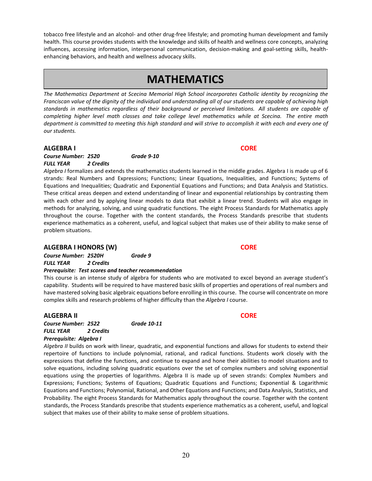methods for analyzing, solving, and using quadratic functions. The eight Process Standards for Mathematics apply throughout the course. Together with the content standards, the Process Standards prescribe that students experience mathematics as a coherent, useful, and logical subject that makes use of their ability to make sense of

#### **ALGEBRA I HONORS (W) CORE**

problem situations.

### *Prerequisite: Test scores and teacher recommendation*

**ALGEBRA II CORE**

*Course Number: 2522 Grade 10-11 FULL YEAR 2 Credits Prerequisite: Algebra I* 

*Algebra II* builds on work with linear, quadratic, and exponential functions and allows for students to extend their repertoire of functions to include polynomial, rational, and radical functions. Students work closely with the expressions that define the functions, and continue to expand and hone their abilities to model situations and to solve equations, including solving quadratic equations over the set of complex numbers and solving exponential equations using the properties of logarithms. Algebra II is made up of seven strands: Complex Numbers and Expressions; Functions; Systems of Equations; Quadratic Equations and Functions; Exponential & Logarithmic Equations and Functions; Polynomial, Rational, and Other Equations and Functions; and Data Analysis, Statistics, and Probability. The eight Process Standards for Mathematics apply throughout the course. Together with the content standards, the Process Standards prescribe that students experience mathematics as a coherent, useful, and logical subject that makes use of their ability to make sense of problem situations.

## **MATHEMATICS**

tobacco free lifestyle and an alcohol- and other drug-free lifestyle; and promoting human development and family health. This course provides students with the knowledge and skills of health and wellness core concepts, analyzing influences, accessing information, interpersonal communication, decision-making and goal-setting skills, health-

*The Mathematics Department at Scecina Memorial High School incorporates Catholic identity by recognizing the Franciscan value of the dignity of the individual and understanding all of our students are capable of achieving high standards in mathematics regardless of their background or perceived limitations. All students are capable of completing higher level math classes and take college level mathematics while at Scecina. The entire math department is committed to meeting this high standard and will strive to accomplish it with each and every one of our students.*

*Algebra I* formalizes and extends the mathematics students learned in the middle grades. Algebra I is made up of 6 strands: Real Numbers and Expressions; Functions; Linear Equations, Inequalities, and Functions; Systems of Equations and Inequalities; Quadratic and Exponential Equations and Functions; and Data Analysis and Statistics. These critical areas deepen and extend understanding of linear and exponential relationships by contrasting them with each other and by applying linear models to data that exhibit a linear trend. Students will also engage in

#### **ALGEBRA I CORE**

*Course Number: 2520 Grade 9-10 FULL YEAR 2 Credits*

enhancing behaviors, and health and wellness advocacy skills.

*Course Number: 2520H Grade 9 FULL YEAR 2 Credits*

This course is an intense study of algebra for students who are motivated to excel beyond an average student's capability. Students will be required to have mastered basic skills of properties and operations of real numbers and have mastered solving basic algebraic equations before enrolling in this course. The course will concentrate on more complex skills and research problems of higher difficulty than the *Algebra I* course.

20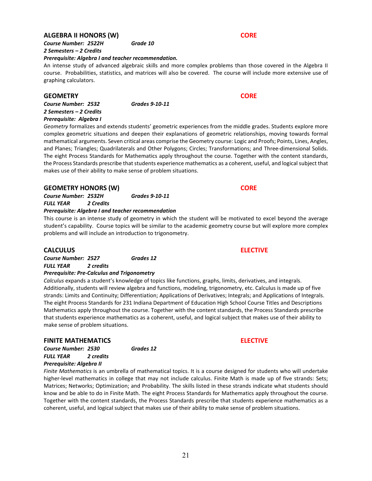### **ALGEBRA II HONORS (W) CORE**

*Course Number: 2522H Grade 10 2 Semesters – 2 Credits*

#### *Prerequisite: Algebra I and teacher recommendation.*

An intense study of advanced algebraic skills and more complex problems than those covered in the Algebra II course. Probabilities, statistics, and matrices will also be covered. The course will include more extensive use of graphing calculators.

#### **GEOMETRY CORE**

*Course Number: 2532 Grades 9-10-11 2 Semesters – 2 Credits Prerequisite: Algebra I*

*Geometry* formalizes and extends students' geometric experiences from the middle grades. Students explore more complex geometric situations and deepen their explanations of geometric relationships, moving towards formal mathematical arguments. Seven critical areas comprise the Geometry course: Logic and Proofs; Points, Lines, Angles, and Planes; Triangles; Quadrilaterals and Other Polygons; Circles; Transformations; and Three-dimensional Solids. The eight Process Standards for Mathematics apply throughout the course. Together with the content standards, the Process Standards prescribe that students experience mathematics as a coherent, useful, and logical subject that makes use of their ability to make sense of problem situations.

### **GEOMETRY HONORS (W) CORE**

*Course Number: 2532H Grades 9-10-11 FULL YEAR 2 Credits*

#### *Prerequisite: Algebra I and teacher recommendation*

This course is an intense study of geometry in which the student will be motivated to excel beyond the average student's capability. Course topics will be similar to the academic geometry course but will explore more complex problems and will include an introduction to trigonometry.

#### **CALCULUS ELECTIVE**

*Course Number: 2527 Grades 12 FULL YEAR 2 credits*

### *Prerequisite: Pre-Calculus and Trigonometry*

*Calculus* expands a student's knowledge of topics like functions, graphs, limits, derivatives, and integrals. Additionally, students will review algebra and functions, modeling, trigonometry, etc. Calculus is made up of five strands: Limits and Continuity; Differentiation; Applications of Derivatives; Integrals; and Applications of Integrals. The eight Process Standards for 231 Indiana Department of Education High School Course Titles and Descriptions Mathematics apply throughout the course. Together with the content standards, the Process Standards prescribe that students experience mathematics as a coherent, useful, and logical subject that makes use of their ability to make sense of problem situations.

#### **FINITE MATHEMATICS ELECTIVE**

*Course Number: 2530 Grades 12 FULL YEAR 2 credits Prerequisite: Algebra II*

*Finite Mathematics* is an umbrella of mathematical topics. It is a course designed for students who will undertake higher-level mathematics in college that may not include calculus. Finite Math is made up of five strands: Sets; Matrices; Networks; Optimization; and Probability. The skills listed in these strands indicate what students should know and be able to do in Finite Math. The eight Process Standards for Mathematics apply throughout the course. Together with the content standards, the Process Standards prescribe that students experience mathematics as a coherent, useful, and logical subject that makes use of their ability to make sense of problem situations.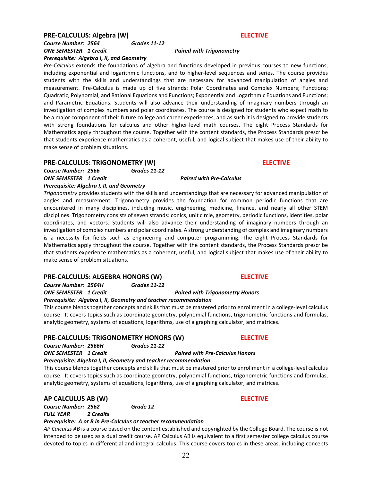### **PRE-CALCULUS: Algebra (W) ELECTIVE**

### *Course Number: 2564 Grades 11-12 ONE SEMESTER 1 Credit Paired with Trigonometry*

*Prerequisite: Algebra I, II, and Geometry*

*Pre-Calculus* extends the foundations of algebra and functions developed in previous courses to new functions, including exponential and logarithmic functions, and to higher-level sequences and series. The course provides students with the skills and understandings that are necessary for advanced manipulation of angles and measurement. Pre-Calculus is made up of five strands: Polar Coordinates and Complex Numbers; Functions; Quadratic, Polynomial, and Rational Equations and Functions; Exponential and Logarithmic Equations and Functions; and Parametric Equations. Students will also advance their understanding of imaginary numbers through an investigation of complex numbers and polar coordinates. The course is designed for students who expect math to be a major component of their future college and career experiences, and as such it is designed to provide students with strong foundations for calculus and other higher-level math courses. The eight Process Standards for Mathematics apply throughout the course. Together with the content standards, the Process Standards prescribe that students experience mathematics as a coherent, useful, and logical subject that makes use of their ability to make sense of problem situations.

### **PRE-CALCULUS: TRIGONOMETRY (W) ELECTIVE**

*Course Number: 2566 Grades 11-12 ONE SEMESTER 1 Credit Paired with Pre-Calculus Prerequisite: Algebra I, II, and Geometry*

*Trigonometry* provides students with the skills and understandings that are necessary for advanced manipulation of angles and measurement. Trigonometry provides the foundation for common periodic functions that are encountered in many disciplines, including music, engineering, medicine, finance, and nearly all other STEM disciplines. Trigonometry consists of seven strands: conics, unit circle, geometry, periodic functions, identities, polar coordinates, and vectors. Students will also advance their understanding of imaginary numbers through an investigation of complex numbers and polar coordinates. A strong understanding of complex and imaginary numbers is a necessity for fields such as engineering and computer programming. The eight Process Standards for Mathematics apply throughout the course. Together with the content standards, the Process Standards prescribe that students experience mathematics as a coherent, useful, and logical subject that makes use of their ability to make sense of problem situations.

### **PRE-CALCULUS: ALGEBRA HONORS (W) ELECTIVE**

*Course Number: 2564H Grades 11-12 ONE SEMESTER 1 Credit Paired with Trigonometry Honors*

*Prerequisite: Algebra I, II, Geometry and teacher recommendation*

This course blends together concepts and skills that must be mastered prior to enrollment in a college-level calculus course. It covers topics such as coordinate geometry, polynomial functions, trigonometric functions and formulas, analytic geometry, systems of equations, logarithms, use of a graphing calculator, and matrices.

### **PRE-CALCULUS: TRIGONOMETRY HONORS (W) ELECTIVE**

*Course Number: 2566H Grades 11-12*

*ONE SEMESTER 1 Credit Paired with Pre-Calculus Honors*

### *Prerequisite: Algebra I, II, Geometry and teacher recommendation*

This course blends together concepts and skills that must be mastered prior to enrollment in a college-level calculus course. It covers topics such as coordinate geometry, polynomial functions, trigonometric functions and formulas, analytic geometry, systems of equations, logarithms, use of a graphing calculator, and matrices.

### **AP CALCULUS AB (W) ELECTIVE**

*Course Number: 2562 Grade 12 FULL YEAR 2 Credits* 

### *Prerequisite: A or B in Pre-Calculus or teacher recommendation*

*AP Calculus AB* is a course based on the content established and copyrighted by the College Board. The course is not intended to be used as a dual credit course. AP Calculus AB is equivalent to a first semester college calculus course devoted to topics in differential and integral calculus. This course covers topics in these areas, including concepts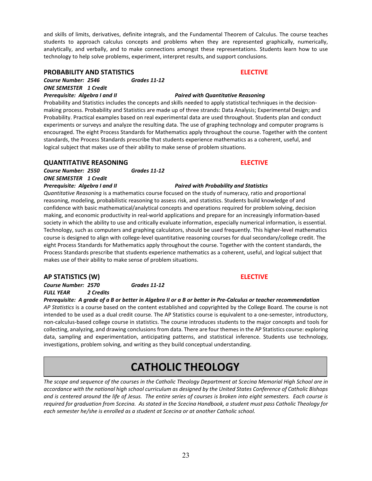and skills of limits, derivatives, definite integrals, and the Fundamental Theorem of Calculus. The course teaches students to approach calculus concepts and problems when they are represented graphically, numerically, analytically, and verbally, and to make connections amongst these representations. Students learn how to use technology to help solve problems, experiment, interpret results, and support conclusions.

#### **PROBABILITY AND STATISTICS ELECTIVE**

*Course Number: 2546 Grades 11-12 ONE SEMESTER 1 Credit*

Probability and Statistics includes the concepts and skills needed to apply statistical techniques in the decisionmaking process. Probability and Statistics are made up of three strands: Data Analysis; Experimental Design; and Probability. Practical examples based on real experimental data are used throughout. Students plan and conduct experiments or surveys and analyze the resulting data. The use of graphing technology and computer programs is encouraged. The eight Process Standards for Mathematics apply throughout the course. Together with the content standards, the Process Standards prescribe that students experience mathematics as a coherent, useful, and logical subject that makes use of their ability to make sense of problem situations.

### **QUANTITATIVE REASONING ELECTIVE**

*Course Number: 2550 Grades 11-12 ONE SEMESTER 1 Credit*

*Quantitative Reasoning* is a mathematics course focused on the study of numeracy, ratio and proportional reasoning, modeling, probabilistic reasoning to assess risk, and statistics. Students build knowledge of and confidence with basic mathematical/analytical concepts and operations required for problem solving, decision making, and economic productivity in real-world applications and prepare for an increasingly information-based society in which the ability to use and critically evaluate information, especially numerical information, is essential. Technology, such as computers and graphing calculators, should be used frequently. This higher-level mathematics course is designed to align with college-level quantitative reasoning courses for dual secondary/college credit. The eight Process Standards for Mathematics apply throughout the course. Together with the content standards, the Process Standards prescribe that students experience mathematics as a coherent, useful, and logical subject that makes use of their ability to make sense of problem situations.

### **AP STATISTICS (W) ELECTIVE**

*Course Number: 2570 Grades 11-12 FULL YEAR 2 Credits*

*Prerequisite: A grade of a B or better in Algebra II or a B or better in Pre-Calculus or teacher recommendation AP Statistics* is a course based on the content established and copyrighted by the College Board. The course is not intended to be used as a dual credit course. The AP Statistics course is equivalent to a one-semester, introductory, non-calculus-based college course in statistics. The course introduces students to the major concepts and tools for collecting, analyzing, and drawing conclusions from data. There are four themes in the AP Statistics course: exploring data, sampling and experimentation, anticipating patterns, and statistical inference. Students use technology, investigations, problem solving, and writing as they build conceptual understanding.

## **CATHOLIC THEOLOGY**

*The scope and sequence of the courses in the Catholic Theology Department at Scecina Memorial High School are in accordance with the national high school curriculum as designed by the United States Conference of Catholic Bishops and is centered around the life of Jesus. The entire series of courses is broken into eight semesters. Each course is required for graduation from Scecina. As stated in the Scecina Handbook, a student must pass Catholic Theology for each semester he/she is enrolled as a student at Scecina or at another Catholic school.*

### *Prerequisite: Algebra I and II Paired with Quantitative Reasoning*

#### *Prerequisite: Algebra I and II Paired with Probability and Statistics*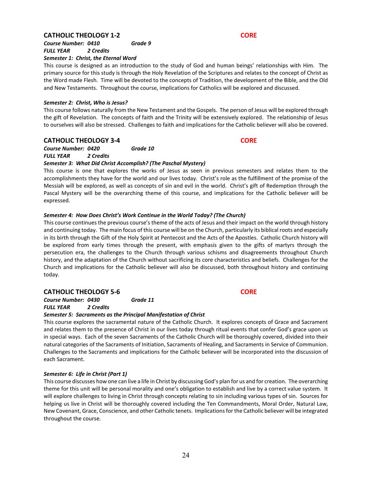### **CATHOLIC THEOLOGY 1-2 CORE**

#### *Course Number: 0410 Grade 9 FULL YEAR 2 Credits Semester 1: Christ, the Eternal Word*

This course is designed as an introduction to the study of God and human beings' relationships with Him. The primary source for this study is through the Holy Revelation of the Scriptures and relates to the concept of Christ as the Word made Flesh. Time will be devoted to the concepts of Tradition, the development of the Bible, and the Old and New Testaments. Throughout the course, implications for Catholics will be explored and discussed.

#### *Semester 2: Christ, Who is Jesus?*

This course follows naturally from the New Testament and the Gospels. The person of Jesus will be explored through the gift of Revelation. The concepts of faith and the Trinity will be extensively explored. The relationship of Jesus to ourselves will also be stressed. Challenges to faith and implications for the Catholic believer will also be covered.

#### **CATHOLIC THEOLOGY 3-4 CORE**

#### *Course Number: 0420 Grade 10 FULL YEAR 2 Credits*

### *Semester 3: What Did Christ Accomplish? (The Paschal Mystery)*

This course is one that explores the works of Jesus as seen in previous semesters and relates them to the accomplishments they have for the world and our lives today. Christ's role as the fulfillment of the promise of the Messiah will be explored, as well as concepts of sin and evil in the world. Christ's gift of Redemption through the Pascal Mystery will be the overarching theme of this course, and implications for the Catholic believer will be expressed.

### *Semester 4: How Does Christ's Work Continue in the World Today? (The Church)*

This course continues the previous course's theme of the acts of Jesus and their impact on the world through history and continuing today. The main focus of this course will be on the Church, particularly its biblical roots and especially in its birth through the Gift of the Holy Spirit at Pentecost and the Acts of the Apostles. Catholic Church history will be explored from early times through the present, with emphasis given to the gifts of martyrs through the persecution era, the challenges to the Church through various schisms and disagreements throughout Church history, and the adaptation of the Church without sacrificing its core characteristics and beliefs. Challenges for the Church and implications for the Catholic believer will also be discussed, both throughout history and continuing today.

### **CATHOLIC THEOLOGY 5-6 CORE**

*Course Number: 0430 Grade 11*

*FULL YEAR 2 Credits*

### *Semester 5: Sacraments as the Principal Manifestation of Christ*

This course explores the sacramental nature of the Catholic Church. It explores concepts of Grace and Sacrament and relates them to the presence of Christ in our lives today through ritual events that confer God's grace upon us in special ways. Each of the seven Sacraments of the Catholic Church will be thoroughly covered, divided into their natural categories of the Sacraments of Initiation, Sacraments of Healing, and Sacraments in Service of Communion. Challenges to the Sacraments and implications for the Catholic believer will be incorporated into the discussion of each Sacrament.

#### *Semester 6: Life in Christ (Part 1)*

This course discusses how one can live a life in Christ by discussing God's plan for us and for creation. The overarching theme for this unit will be personal morality and one's obligation to establish and live by a correct value system. It will explore challenges to living in Christ through concepts relating to sin including various types of sin. Sources for helping us live in Christ will be thoroughly covered including the Ten Commandments, Moral Order, Natural Law, New Covenant, Grace, Conscience, and other Catholic tenets. Implications for the Catholic believer will be integrated throughout the course.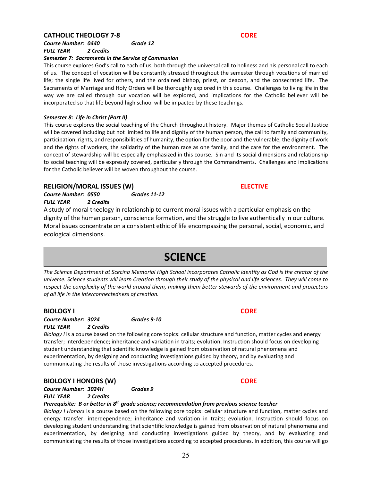### **CATHOLIC THEOLOGY 7-8** CORE

*Course Number: 0440 Grade 12 FULL YEAR 2 Credits*

#### *Semester 7: Sacraments in the Service of Communion*

This course explores God's call to each of us, both through the universal call to holiness and his personal call to each of us. The concept of vocation will be constantly stressed throughout the semester through vocations of married life; the single life lived for others, and the ordained bishop, priest, or deacon, and the consecrated life. The Sacraments of Marriage and Holy Orders will be thoroughly explored in this course. Challenges to living life in the way we are called through our vocation will be explored, and implications for the Catholic believer will be incorporated so that life beyond high school will be impacted by these teachings.

#### *Semester 8: Life in Christ (Part II)*

This course explores the social teaching of the Church throughout history. Major themes of Catholic Social Justice will be covered including but not limited to life and dignity of the human person, the call to family and community, participation, rights, and responsibilities of humanity, the option for the poor and the vulnerable, the dignity of work and the rights of workers, the solidarity of the human race as one family, and the care for the environment. The concept of stewardship will be especially emphasized in this course. Sin and its social dimensions and relationship to social teaching will be expressly covered, particularly through the Commandments. Challenges and implications for the Catholic believer will be woven throughout the course.

#### **RELIGION/MORAL ISSUES (W) ELECTIVE**

*Course Number: 0550 Grades 11-12 FULL YEAR 2 Credits*

A study of moral theology in relationship to current moral issues with a particular emphasis on the dignity of the human person, conscience formation, and the struggle to live authentically in our culture. Moral issues concentrate on a consistent ethic of life encompassing the personal, social, economic, and ecological dimensions.

## **SCIENCE**

*The Science Department at Scecina Memorial High School incorporates Catholic identity as God is the creator of the universe. Science students will learn Creation through their study of the physical and life sciences. They will come to respect the complexity of the world around them, making them better stewards of the environment and protectors of all life in the interconnectedness of creation.*

#### **BIOLOGY I CORE**

*Course Number: 3024 Grades 9-10 FULL YEAR 2 Credits*

*Biology I* is a course based on the following core topics: cellular structure and function, matter cycles and energy transfer; interdependence; inheritance and variation in traits; evolution. Instruction should focus on developing student understanding that scientific knowledge is gained from observation of natural phenomena and experimentation, by designing and conducting investigations guided by theory, and by evaluating and communicating the results of those investigations according to accepted procedures.

#### **BIOLOGY I HONORS (W) CORE**

*Course Number: 3024H Grades 9 FULL YEAR 2 Credits*

#### *Prerequisite: B or better in 8th grade science; recommendation from previous science teacher*

*Biology I Honors* is a course based on the following core topics: cellular structure and function, matter cycles and energy transfer; interdependence; inheritance and variation in traits; evolution. Instruction should focus on developing student understanding that scientific knowledge is gained from observation of natural phenomena and experimentation, by designing and conducting investigations guided by theory, and by evaluating and communicating the results of those investigations according to accepted procedures. In addition, this course will go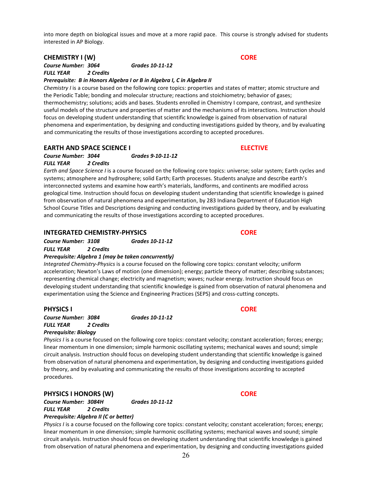into more depth on biological issues and move at a more rapid pace. This course is strongly advised for students interested in AP Biology.

### **CHEMISTRY I (W) CORE**

*Course Number: 3064 Grades 10-11-12 FULL YEAR 2 Credits*

#### *Prerequisite: B in Honors Algebra I or B in Algebra I, C in Algebra II*

*Chemistry I* is a course based on the following core topics: properties and states of matter; atomic structure and the Periodic Table; bonding and molecular structure; reactions and stoichiometry; behavior of gases; thermochemistry; solutions; acids and bases. Students enrolled in Chemistry I compare, contrast, and synthesize useful models of the structure and properties of matter and the mechanisms of its interactions. Instruction should focus on developing student understanding that scientific knowledge is gained from observation of natural phenomena and experimentation, by designing and conducting investigations guided by theory, and by evaluating and communicating the results of those investigations according to accepted procedures.

### **EARTH AND SPACE SCIENCE I ELECTIVE**

*Course Number: 3044 Grades 9-10-11-12 FULL YEAR 2 Credits*

*Earth and Space Science I* is a course focused on the following core topics: universe; solar system; Earth cycles and systems; atmosphere and hydrosphere; solid Earth; Earth processes. Students analyze and describe earth's interconnected systems and examine how earth's materials, landforms, and continents are modified across geological time. Instruction should focus on developing student understanding that scientific knowledge is gained from observation of natural phenomena and experimentation, by 283 Indiana Department of Education High School Course Titles and Descriptions designing and conducting investigations guided by theory, and by evaluating and communicating the results of those investigations according to accepted procedures.

### **INTEGRATED CHEMISTRY-PHYSICS CORE**

*Course Number: 3108 Grades 10-11-12 FULL YEAR 2 Credits*

### *Prerequisite: Algebra 1 (may be taken concurrently)*

*Integrated Chemistry-Physics* is a course focused on the following core topics: constant velocity; uniform acceleration; Newton's Laws of motion (one dimension); energy; particle theory of matter; describing substances; representing chemical change; electricity and magnetism; waves; nuclear energy. Instruction should focus on developing student understanding that scientific knowledge is gained from observation of natural phenomena and experimentation using the Science and Engineering Practices (SEPS) and cross-cutting concepts.

### **PHYSICS I CORE**

*Course Number: 3084 Grades 10-11-12 FULL YEAR 2 Credits*

#### *Prerequisite: Biology*

*Physics I* is a course focused on the following core topics: constant velocity; constant acceleration; forces; energy; linear momentum in one dimension; simple harmonic oscillating systems; mechanical waves and sound; simple circuit analysis. Instruction should focus on developing student understanding that scientific knowledge is gained from observation of natural phenomena and experimentation, by designing and conducting investigations guided by theory, and by evaluating and communicating the results of those investigations according to accepted procedures.

### **PHYSICS I HONORS (W) CORE**

*Course Number: 3084H Grades 10-11-12 FULL YEAR 2 Credits Prerequisite: Algebra II (C or better)*

*Physics I* is a course focused on the following core topics: constant velocity; constant acceleration; forces; energy; linear momentum in one dimension; simple harmonic oscillating systems; mechanical waves and sound; simple circuit analysis. Instruction should focus on developing student understanding that scientific knowledge is gained from observation of natural phenomena and experimentation, by designing and conducting investigations guided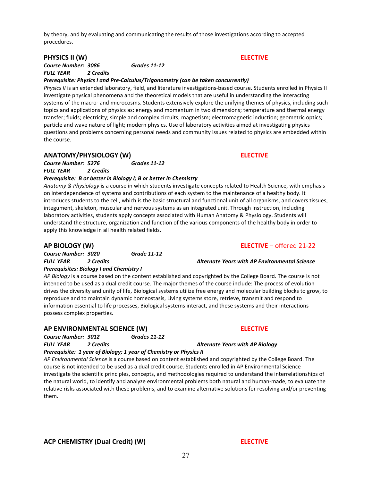**PHYSICS II (W) ELECTIVE** *Course Number: 3086 Grades 11-12*

by theory, and by evaluating and communicating the results of those investigations according to accepted

*FULL YEAR 2 Credits*

procedures.

#### *Prerequisite: Physics I and Pre-Calculus/Trigonometry (can be taken concurrently)*

*Physics II* is an extended laboratory, field, and literature investigations-based course. Students enrolled in Physics II investigate physical phenomena and the theoretical models that are useful in understanding the interacting systems of the macro- and microcosms. Students extensively explore the unifying themes of physics, including such topics and applications of physics as: energy and momentum in two dimensions; temperature and thermal energy transfer; fluids; electricity; simple and complex circuits; magnetism; electromagnetic induction; geometric optics; particle and wave nature of light; modern physics. Use of laboratory activities aimed at investigating physics questions and problems concerning personal needs and community issues related to physics are embedded within the course.

### **ANATOMY/PHYSIOLOGY (W) ELECTIVE**

*Course Number: 5276 Grades 11-12 FULL YEAR 2 Credits*

#### *Prerequisite: B or better in Biology I; B or better in Chemistry*

*Anatomy & Physiology* is a course in which students investigate concepts related to Health Science, with emphasis on interdependence of systems and contributions of each system to the maintenance of a healthy body. It introduces students to the cell, which is the basic structural and functional unit of all organisms, and covers tissues, integument, skeleton, muscular and nervous systems as an integrated unit. Through instruction, including laboratory activities, students apply concepts associated with Human Anatomy & Physiology. Students will understand the structure, organization and function of the various components of the healthy body in order to apply this knowledge in all health related fields.

*Course Number: 3020 Grade 11-12 FULL YEAR 2 Credits Alternate Years with AP Environmental Science Prerequisites: Biology I and Chemistry I*

*AP Biology* is a course based on the content established and copyrighted by the College Board. The course is not intended to be used as a dual credit course. The major themes of the course include: The process of evolution drives the diversity and unity of life, Biological systems utilize free energy and molecular building blocks to grow, to reproduce and to maintain dynamic homeostasis, Living systems store, retrieve, transmit and respond to information essential to life processes, Biological systems interact, and these systems and their interactions possess complex properties.

### **AP ENVIRONMENTAL SCIENCE (W) ELECTIVE**

*Course Number: 3012 Grades 11-12 FULL YEAR 2 Credits Alternate Years with AP Biology Prerequisite: 1 year of Biology; 1 year of Chemistry or Physics II*

*AP Environmental Science* is a course based on content established and copyrighted by the College Board. The course is not intended to be used as a dual credit course. Students enrolled in AP Environmental Science investigate the scientific principles, concepts, and methodologies required to understand the interrelationships of the natural world, to identify and analyze environmental problems both natural and human-made, to evaluate the relative risks associated with these problems, and to examine alternative solutions for resolving and/or preventing them.

### **AP BIOLOGY (W) ELECTIVE** – offered 21-22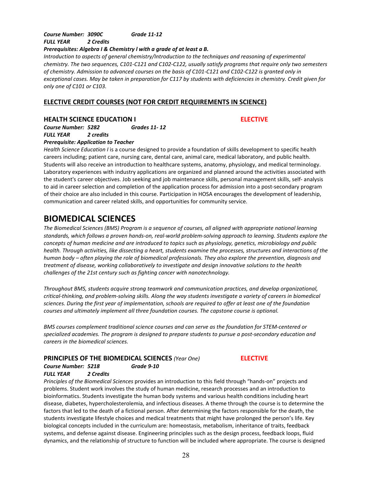### *Course Number: 3090C Grade 11-12 FULL YEAR 2 Credits*

#### *Prerequisites: Algebra I & Chemistry l with a grade of at least a B.*

*Introduction to aspects of general chemistry/Introduction to the techniques and reasoning of experimental chemistry. The two sequences, C101-C121 and C102-C122, usually satisfy programs that require only two semesters of chemistry. Admission to advanced courses on the basis of C101-C121 and C102-C122 is granted only in exceptional cases. May be taken in preparation for C117 by students with deficiencies in chemistry. Credit given for only one of C101 or C103.*

### **ELECTIVE CREDIT COURSES (NOT FOR CREDIT REQUIREMENTS IN SCIENCE)**

### **HEALTH SCIENCE EDUCATION I ELECTIVE**

*Course Number: 5282 Grades 11- 12 FULL YEAR 2 credits*

### *Prerequisite: Application to Teacher*

*Health Science Education I* is a course designed to provide a foundation of skills development to specific health careers including; patient care, nursing care, dental care, animal care, medical laboratory, and public health. Students will also receive an introduction to healthcare systems, anatomy, physiology, and medical terminology. Laboratory experiences with industry applications are organized and planned around the activities associated with the student's career objectives. Job seeking and job maintenance skills, personal management skills, self- analysis to aid in career selection and completion of the application process for admission into a post-secondary program of their choice are also included in this course. Participation in HOSA encourages the development of leadership, communication and career related skills, and opportunities for community service.

## **BIOMEDICAL SCIENCES**

*The Biomedical Sciences (BMS) Program is a sequence of courses, all aligned with appropriate national learning standards, which follows a proven hands-on, real-world problem-solving approach to learning. Students explore the concepts of human medicine and are introduced to topics such as physiology, genetics, microbiology and public health. Through activities, like dissecting a heart, students examine the processes, structures and interactions of the human body – often playing the role of biomedical professionals. They also explore the prevention, diagnosis and treatment of disease, working collaboratively to investigate and design innovative solutions to the health challenges of the 21st century such as fighting cancer with nanotechnology.*

*Throughout BMS, students acquire strong teamwork and communication practices, and develop organizational, critical-thinking, and problem-solving skills. Along the way students investigate a variety of careers in biomedical sciences. During the first year of implementation, schools are required to offer at least one of the foundation courses and ultimately implement all three foundation courses. The capstone course is optional.*

*BMS courses complement traditional science courses and can serve as the foundation for STEM-centered or specialized academies. The program is designed to prepare students to pursue a post-secondary education and careers in the biomedical sciences.*

#### **PRINCIPLES OF THE BIOMEDICAL SCIENCES** *(Year One)* **ELECTIVE** *Course Number: 5218 Grade 9-10*

### *FULL YEAR 2 Credits*

*Principles of the Biomedical Sciences* provides an introduction to this field through "hands-on" projects and problems. Student work involves the study of human medicine, research processes and an introduction to bioinformatics. Students investigate the human body systems and various health conditions including heart disease, diabetes, hypercholesterolemia, and infectious diseases. A theme through the course is to determine the factors that led to the death of a fictional person. After determining the factors responsible for the death, the students investigate lifestyle choices and medical treatments that might have prolonged the person's life. Key biological concepts included in the curriculum are: homeostasis, metabolism, inheritance of traits, feedback systems, and defense against disease. Engineering principles such as the design process, feedback loops, fluid dynamics, and the relationship of structure to function will be included where appropriate. The course is designed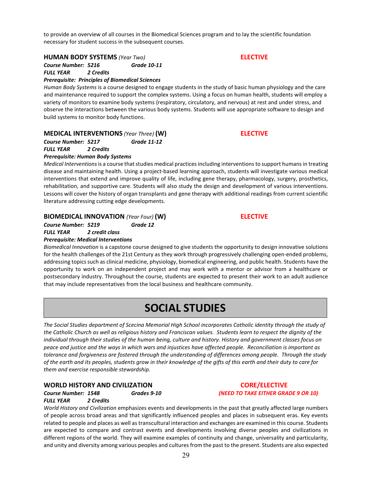to provide an overview of all courses in the Biomedical Sciences program and to lay the scientific foundation necessary for student success in the subsequent courses.

**HUMAN BODY SYSTEMS** *(Year Two)* **ELECTIVE**

*Course Number: 5216 Grade 10-11 FULL YEAR 2 Credits* 

*Prerequisite: Principles of Biomedical Sciences*

*Human Body Systems* is a course designed to engage students in the study of basic human physiology and the care and maintenance required to support the complex systems. Using a focus on human health, students will employ a variety of monitors to examine body systems (respiratory, circulatory, and nervous) at rest and under stress, and observe the interactions between the various body systems. Students will use appropriate software to design and build systems to monitor body functions.

### **MEDICAL INTERVENTIONS** *(Year Three)* **(W) ELECTIVE**

*Course Number: 5217 Grade 11-12*

*FULL YEAR 2 Credits*

*Prerequisite: Human Body Systems*

*Medical Interventions*is a course that studies medical practices including interventions to support humans in treating disease and maintaining health. Using a project-based learning approach, students will investigate various medical interventions that extend and improve quality of life, including gene therapy, pharmacology, surgery, prosthetics, rehabilitation, and supportive care. Students will also study the design and development of various interventions. Lessons will cover the history of organ transplants and gene therapy with additional readings from current scientific literature addressing cutting edge developments.

**BIOMEDICAL INNOVATION** *(Year Four)* **(W) ELECTIVE**

*Course Number: 5219 Grade 12 FULL YEAR 2 credit class Prerequisite: Medical Interventions*

*Biomedical Innovation* is a capstone course designed to give students the opportunity to design innovative solutions for the health challenges of the 21st Century as they work through progressively challenging open-ended problems, addressing topics such as clinical medicine, physiology, biomedical engineering, and public health. Students have the opportunity to work on an independent project and may work with a mentor or advisor from a healthcare or postsecondary industry. Throughout the course, students are expected to present their work to an adult audience that may include representatives from the local business and healthcare community.

## **SOCIAL STUDIES**

*The Social Studies department of Scecina Memorial High School incorporates Catholic identity through the study of the Catholic Church as well as religious history and Franciscan values. Students learn to respect the dignity of the individual through their studies of the human being, culture and history. History and government classes focus on peace and justice and the ways in which wars and injustices have affected people. Reconciliation is important as tolerance and forgiveness are fostered through the understanding of differences among people. Through the study of the earth and its peoples, students grow in their knowledge of the gifts of this earth and their duty to care for them and exercise responsible stewardship.*

### **WORLD HISTORY AND CIVILIZATION CORE/ELECTIVE**

*Course Number: 1548 Grades 9-10 (NEED TO TAKE EITHER GRADE 9 OR 10)*

*FULL YEAR 2 Credits*

*World History and Civilization* emphasizes events and developments in the past that greatly affected large numbers of people across broad areas and that significantly influenced peoples and places in subsequent eras. Key events related to people and places as well as transcultural interaction and exchanges are examined in this course. Students are expected to compare and contrast events and developments involving diverse peoples and civilizations in different regions of the world. They will examine examples of continuity and change, universality and particularity, and unity and diversity among various peoples and cultures from the past to the present. Students are also expected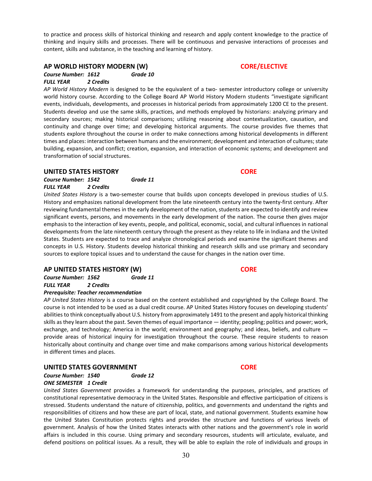to practice and process skills of historical thinking and research and apply content knowledge to the practice of thinking and inquiry skills and processes. There will be continuous and pervasive interactions of processes and content, skills and substance, in the teaching and learning of history.

### **AP WORLD HISTORY MODERN (W) CORE/ELECTIVE**

*Course Number: 1612 Grade 10 FULL YEAR 2 Credits*

*AP World History Modern* is designed to be the equivalent of a two- semester introductory college or university world history course. According to the College Board AP World History Modern students "investigate significant events, individuals, developments, and processes in historical periods from approximately 1200 CE to the present. Students develop and use the same skills, practices, and methods employed by historians: analyzing primary and secondary sources; making historical comparisons; utilizing reasoning about contextualization, causation, and continuity and change over time; and developing historical arguments. The course provides five themes that students explore throughout the course in order to make connections among historical developments in different times and places: interaction between humans and the environment; development and interaction of cultures; state building, expansion, and conflict; creation, expansion, and interaction of economic systems; and development and transformation of social structures.

### **UNITED STATES HISTORY CORE**

### *Course Number: 1542 Grade 11 FULL YEAR 2 Credits*

*United States History* is a two-semester course that builds upon concepts developed in previous studies of U.S. History and emphasizes national development from the late nineteenth century into the twenty-first century. After reviewing fundamental themes in the early development of the nation, students are expected to identify and review significant events, persons, and movements in the early development of the nation. The course then gives major emphasis to the interaction of key events, people, and political, economic, social, and cultural influences in national developments from the late nineteenth century through the present as they relate to life in Indiana and the United States. Students are expected to trace and analyze chronological periods and examine the significant themes and concepts in U.S. History. Students develop historical thinking and research skills and use primary and secondary sources to explore topical issues and to understand the cause for changes in the nation over time.

### **AP UNITED STATES HISTORY (W) CORE**

*Course Number: 1562 Grade 11*

*FULL YEAR 2 Credits*

### *Prerequisite: Teacher recommendation*

*AP United States History* is a course based on the content established and copyrighted by the College Board. The course is not intended to be used as a dual credit course. AP United States History focuses on developing students' abilities to think conceptually about U.S. history from approximately 1491 to the present and apply historical thinking skills as they learn about the past. Seven themes of equal importance — identity; peopling; politics and power; work, exchange, and technology; America in the world; environment and geography; and ideas, beliefs, and culture  $$ provide areas of historical inquiry for investigation throughout the course. These require students to reason historically about continuity and change over time and make comparisons among various historical developments in different times and places.

### **UNITED STATES GOVERNMENT CORE**

*Course Number: 1540 Grade 12 ONE SEMESTER 1 Credit*

*United States Government* provides a framework for understanding the purposes, principles, and practices of constitutional representative democracy in the United States. Responsible and effective participation of citizens is stressed. Students understand the nature of citizenship, politics, and governments and understand the rights and responsibilities of citizens and how these are part of local, state, and national government. Students examine how the United States Constitution protects rights and provides the structure and functions of various levels of government. Analysis of how the United States interacts with other nations and the government's role in world affairs is included in this course. Using primary and secondary resources, students will articulate, evaluate, and defend positions on political issues. As a result, they will be able to explain the role of individuals and groups in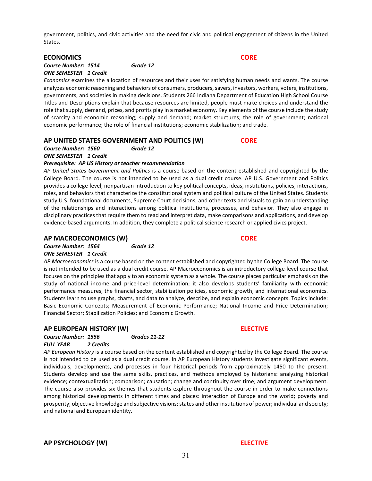government, politics, and civic activities and the need for civic and political engagement of citizens in the United States.

#### **ECONOMICS CORE**

#### *Course Number: 1514 Grade 12 ONE SEMESTER 1 Credit*

*Economics* examines the allocation of resources and their uses for satisfying human needs and wants. The course analyzes economic reasoning and behaviors of consumers, producers, savers, investors, workers, voters, institutions, governments, and societies in making decisions. Students 266 Indiana Department of Education High School Course Titles and Descriptions explain that because resources are limited, people must make choices and understand the role that supply, demand, prices, and profits play in a market economy. Key elements of the course include the study of scarcity and economic reasoning; supply and demand; market structures; the role of government; national economic performance; the role of financial institutions; economic stabilization; and trade.

### **AP UNITED STATES GOVERNMENT AND POLITICS (W) CORE**

### *Course Number: 1560 Grade 12*

*ONE SEMESTER 1 Credit*

### *Prerequisite: AP US History or teacher recommendation*

*AP United States Government and Politics* is a course based on the content established and copyrighted by the College Board. The course is not intended to be used as a dual credit course. AP U.S. Government and Politics provides a college-level, nonpartisan introduction to key political concepts, ideas, institutions, policies, interactions, roles, and behaviors that characterize the constitutional system and political culture of the United States. Students study U.S. foundational documents, Supreme Court decisions, and other texts and visuals to gain an understanding of the relationships and interactions among political institutions, processes, and behavior. They also engage in disciplinary practices that require them to read and interpret data, make comparisons and applications, and develop evidence-based arguments. In addition, they complete a political science research or applied civics project.

#### **AP MACROECONOMICS (W) CORE**

*Course Number: 1564 Grade 12 ONE SEMESTER 1 Credit*

*AP Macroeconomics* is a course based on the content established and copyrighted by the College Board. The course is not intended to be used as a dual credit course. AP Macroeconomics is an introductory college-level course that focuses on the principles that apply to an economic system as a whole. The course places particular emphasis on the study of national income and price-level determination; it also develops students' familiarity with economic performance measures, the financial sector, stabilization policies, economic growth, and international economics. Students learn to use graphs, charts, and data to analyze, describe, and explain economic concepts. Topics include: Basic Economic Concepts; Measurement of Economic Performance; National Income and Price Determination; Financial Sector; Stabilization Policies; and Economic Growth.

### **AP EUROPEAN HISTORY (W) ELECTIVE**

*Course Number: 1556 Grades 11-12 FULL YEAR 2 Credits*

*AP European History* is a course based on the content established and copyrighted by the College Board. The course is not intended to be used as a dual credit course. In AP European History students investigate significant events, individuals, developments, and processes in four historical periods from approximately 1450 to the present. Students develop and use the same skills, practices, and methods employed by historians: analyzing historical evidence; contextualization; comparison; causation; change and continuity over time; and argument development. The course also provides six themes that students explore throughout the course in order to make connections among historical developments in different times and places: interaction of Europe and the world; poverty and prosperity; objective knowledge and subjective visions; states and other institutions of power; individual and society; and national and European identity.

**AP PSYCHOLOGY (W) ELECTIVE**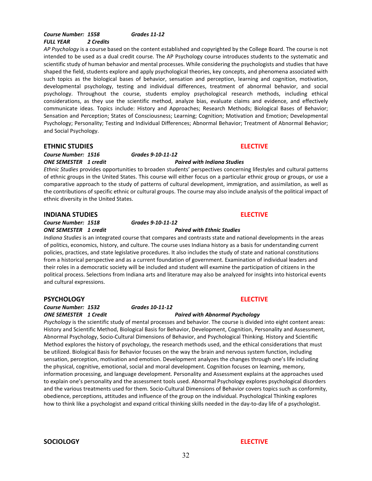#### *Course Number: 1558 Grades 11-12 FULL YEAR 2 Credits*

*AP Psychology* is a course based on the content established and copyrighted by the College Board. The course is not intended to be used as a dual credit course. The AP Psychology course introduces students to the systematic and scientific study of human behavior and mental processes. While considering the psychologists and studies that have shaped the field, students explore and apply psychological theories, key concepts, and phenomena associated with such topics as the biological bases of behavior, sensation and perception, learning and cognition, motivation, developmental psychology, testing and individual differences, treatment of abnormal behavior, and social psychology. Throughout the course, students employ psychological research methods, including ethical considerations, as they use the scientific method, analyze bias, evaluate claims and evidence, and effectively communicate ideas. Topics include: History and Approaches; Research Methods; Biological Bases of Behavior; Sensation and Perception; States of Consciousness; Learning; Cognition; Motivation and Emotion; Developmental Psychology; Personality; Testing and Individual Differences; Abnormal Behavior; Treatment of Abnormal Behavior; and Social Psychology.

### **ETHNIC STUDIES ELECTIVE**

*Course Number: 1516 Grades 9-10-11-12 ONE SEMESTER 1 credit Paired with Indiana Studies*

## *Ethnic Studies* provides opportunities to broaden students' perspectives concerning lifestyles and cultural patterns

of ethnic groups in the United States. This course will either focus on a particular ethnic group or groups, or use a comparative approach to the study of patterns of cultural development, immigration, and assimilation, as well as the contributions of specific ethnic or cultural groups. The course may also include analysis of the political impact of ethnic diversity in the United States.

#### **INDIANA STUDIES ELECTIVE**

*Course Number: 1518 Grades 9-10-11-12 ONE SEMESTER 1 credit Paired with Ethnic Studies*

### *Indiana Studies* is an integrated course that compares and contrasts state and national developments in the areas of politics, economics, history, and culture. The course uses Indiana history as a basis for understanding current policies, practices, and state legislative procedures. It also includes the study of state and national constitutions from a historical perspective and as a current foundation of government. Examination of individual leaders and their roles in a democratic society will be included and student will examine the participation of citizens in the political process. Selections from Indiana arts and literature may also be analyzed for insights into historical events and cultural expressions.

#### **PSYCHOLOGY ELECTIVE**

*Course Number: 1532 Grades 10-11-12*

## *ONE SEMESTER 1 Credit Paired with Abnormal Psychology Psychology* is the scientific study of mental processes and behavior. The course is divided into eight content areas:

History and Scientific Method, Biological Basis for Behavior, Development, Cognition, Personality and Assessment, Abnormal Psychology, Socio-Cultural Dimensions of Behavior, and Psychological Thinking. History and Scientific Method explores the history of psychology, the research methods used, and the ethical considerations that must be utilized. Biological Basis for Behavior focuses on the way the brain and nervous system function, including sensation, perception, motivation and emotion. Development analyzes the changes through one's life including the physical, cognitive, emotional, social and moral development. Cognition focuses on learning, memory, information processing, and language development. Personality and Assessment explains at the approaches used to explain one's personality and the assessment tools used. Abnormal Psychology explores psychological disorders and the various treatments used for them. Socio-Cultural Dimensions of Behavior covers topics such as conformity, obedience, perceptions, attitudes and influence of the group on the individual. Psychological Thinking explores how to think like a psychologist and expand critical thinking skills needed in the day-to-day life of a psychologist.

**SOCIOLOGY ELECTIVE**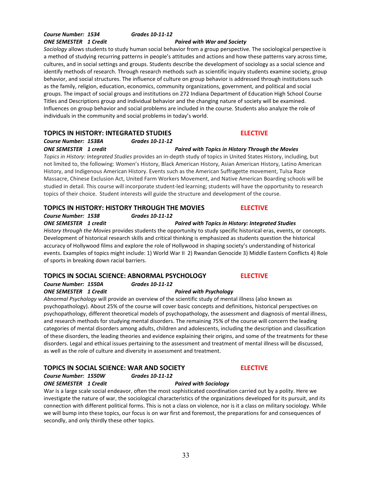## *Course Number: 1534 Grades 10-11-12*

### *ONE SEMESTER 1 Credit Paired with War and Society*

*Sociology* allows students to study human social behavior from a group perspective. The sociological perspective is a method of studying recurring patterns in people's attitudes and actions and how these patterns vary across time, cultures, and in social settings and groups. Students describe the development of sociology as a social science and identify methods of research. Through research methods such as scientific inquiry students examine society, group behavior, and social structures. The influence of culture on group behavior is addressed through institutions such as the family, religion, education, economics, community organizations, government, and political and social groups. The impact of social groups and institutions on 272 Indiana Department of Education High School Course Titles and Descriptions group and individual behavior and the changing nature of society will be examined. Influences on group behavior and social problems are included in the course. Students also analyze the role of individuals in the community and social problems in today's world.

### **TOPICS IN HISTORY: INTEGRATED STUDIES ELECTIVE**

*Course Number: 1538A Grades 10-11-12* 

### *ONE SEMESTER 1 credit Paired with Topics in History Through the Movies*

*Topics in History: Integrated Studies* provides an in-depth study of topics in United States History, including, but not limited to, the following: Women's History, Black American History, Asian American History, Latino American History, and Indigenous American History. Events such as the American Suffragette movement, Tulsa Race Massacre, Chinese Exclusion Act, United Farm Workers Movement, and Native American Boarding schools will be studied in detail. This course will incorporate student-led learning; students will have the opportunity to research topics of their choice. Student interests will guide the structure and development of the course.

### **TOPICS IN HISTORY: HISTORY THROUGH THE MOVIES ELECTIVE**

### *Course Number: 1538 Grades 10-11-12*

*ONE SEMESTER 1 credit Paired with Topics in History: Integrated Studies*

*History through the Movies* provides students the opportunity to study specific historical eras, events, or concepts. Development of historical research skills and critical thinking is emphasized as students question the historical accuracy of Hollywood films and explore the role of Hollywood in shaping society's understanding of historical events. Examples of topics might include: 1) World War II 2) Rwandan Genocide 3) Middle Eastern Conflicts 4) Role of sports in breaking down racial barriers.

### **TOPICS IN SOCIAL SCIENCE: ABNORMAL PSYCHOLOGY ELECTIVE**

*Course Number: 1550A Grades 10-11-12 ONE SEMESTER 1 Credit Paired with Psychology*

*Abnormal Psychology* will provide an overview of the scientific study of mental illness (also known as psychopathology). About 25% of the course will cover basic concepts and definitions, historical perspectives on psychopathology, different theoretical models of psychopathology, the assessment and diagnosis of mental illness, and research methods for studying mental disorders. The remaining 75% of the course will concern the leading categories of mental disorders among adults, children and adolescents, including the description and classification of these disorders, the leading theories and evidence explaining their origins, and some of the treatments for these disorders. Legal and ethical issues pertaining to the assessment and treatment of mental illness will be discussed, as well as the role of culture and diversity in assessment and treatment.

### **TOPICS IN SOCIAL SCIENCE: WAR AND SOCIETY ELECTIVE**

#### *Course Number: 1550W Grades 10-11-12 ONE SEMESTER 1 Credit Paired with Sociology*

War is a large scale social endeavor, often the most sophisticated coordination carried out by a polity. Here we investigate the nature of war, the sociological characteristics of the organizations developed for its pursuit, and its connection with different political forms. This is not a class on violence, nor is it a class on military sociology. While we will bump into these topics, our focus is on war first and foremost, the preparations for and consequences of secondly, and only thirdly these other topics.